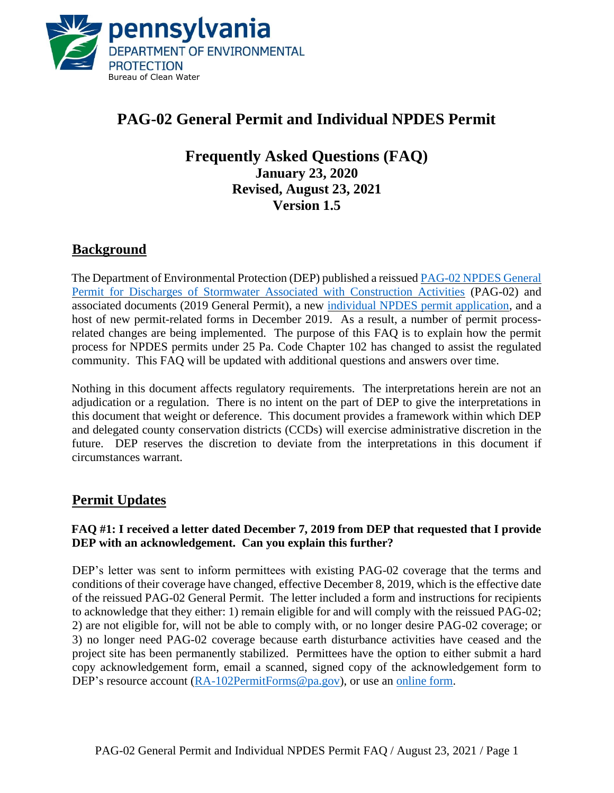

# **PAG-02 General Permit and Individual NPDES Permit**

## **Frequently Asked Questions (FAQ) January 23, 2020 Revised, August 23, 2021 Version 1.5**

## **Background**

The Department of Environmental Protection (DEP) published a reissue[d PAG-02 NPDES General](http://www.depgreenport.state.pa.us/elibrary/GetFolder?FolderID=90982)  [Permit for Discharges of Stormwater Associated with Construction Activities](http://www.depgreenport.state.pa.us/elibrary/GetFolder?FolderID=90982) (PAG-02) and associated documents (2019 General Permit), a new [individual NPDES permit application,](http://www.depgreenport.state.pa.us/elibrary/GetFolder?FolderID=105622) and a host of new permit-related forms in December 2019. As a result, a number of permit processrelated changes are being implemented. The purpose of this FAQ is to explain how the permit process for NPDES permits under 25 Pa. Code Chapter 102 has changed to assist the regulated community. This FAQ will be updated with additional questions and answers over time.

Nothing in this document affects regulatory requirements. The interpretations herein are not an adjudication or a regulation. There is no intent on the part of DEP to give the interpretations in this document that weight or deference. This document provides a framework within which DEP and delegated county conservation districts (CCDs) will exercise administrative discretion in the future. DEP reserves the discretion to deviate from the interpretations in this document if circumstances warrant.

## **Permit Updates**

#### **FAQ #1: I received a letter dated December 7, 2019 from DEP that requested that I provide DEP with an acknowledgement. Can you explain this further?**

DEP's letter was sent to inform permittees with existing PAG-02 coverage that the terms and conditions of their coverage have changed, effective December 8, 2019, which is the effective date of the reissued PAG-02 General Permit. The letter included a form and instructions for recipients to acknowledge that they either: 1) remain eligible for and will comply with the reissued PAG-02; 2) are not eligible for, will not be able to comply with, or no longer desire PAG-02 coverage; or 3) no longer need PAG-02 coverage because earth disturbance activities have ceased and the project site has been permanently stabilized. Permittees have the option to either submit a hard copy acknowledgement form, email a scanned, signed copy of the acknowledgement form to DEP's resource account [\(RA-102PermitForms@pa.gov\)](mailto:RA-102PermitForms@pa.gov), or use an [online form.](https://www.depgreenport.state.pa.us/OBProdAppNet/UnityForm.aspx?key=UFKey)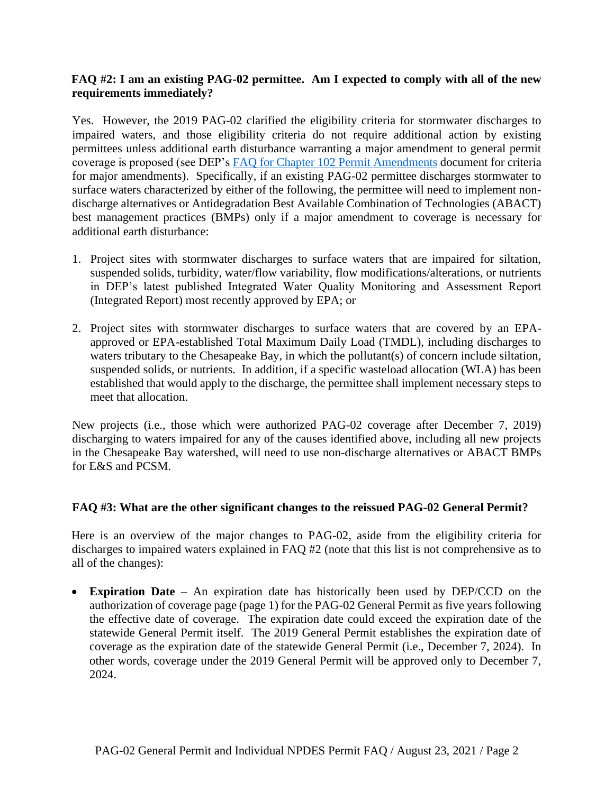#### **FAQ #2: I am an existing PAG-02 permittee. Am I expected to comply with all of the new requirements immediately?**

Yes. However, the 2019 PAG-02 clarified the eligibility criteria for stormwater discharges to impaired waters, and those eligibility criteria do not require additional action by existing permittees unless additional earth disturbance warranting a major amendment to general permit coverage is proposed (see DEP's [FAQ for Chapter 102 Permit Amendments](http://files.dep.state.pa.us/Water/BPNPSM/StormwaterManagement/ConstructionStormwater/Chapter_102_Permit_Amendments_FAQ.pdf) document for criteria for major amendments). Specifically, if an existing PAG-02 permittee discharges stormwater to surface waters characterized by either of the following, the permittee will need to implement nondischarge alternatives or Antidegradation Best Available Combination of Technologies (ABACT) best management practices (BMPs) only if a major amendment to coverage is necessary for additional earth disturbance:

- 1. Project sites with stormwater discharges to surface waters that are impaired for siltation, suspended solids, turbidity, water/flow variability, flow modifications/alterations, or nutrients in DEP's latest published Integrated Water Quality Monitoring and Assessment Report (Integrated Report) most recently approved by EPA; or
- 2. Project sites with stormwater discharges to surface waters that are covered by an EPAapproved or EPA-established Total Maximum Daily Load (TMDL), including discharges to waters tributary to the Chesapeake Bay, in which the pollutant(s) of concern include siltation, suspended solids, or nutrients. In addition, if a specific wasteload allocation (WLA) has been established that would apply to the discharge, the permittee shall implement necessary steps to meet that allocation.

New projects (i.e., those which were authorized PAG-02 coverage after December 7, 2019) discharging to waters impaired for any of the causes identified above, including all new projects in the Chesapeake Bay watershed, will need to use non-discharge alternatives or ABACT BMPs for E&S and PCSM.

#### **FAQ #3: What are the other significant changes to the reissued PAG-02 General Permit?**

Here is an overview of the major changes to PAG-02, aside from the eligibility criteria for discharges to impaired waters explained in FAQ #2 (note that this list is not comprehensive as to all of the changes):

• **Expiration Date** – An expiration date has historically been used by DEP/CCD on the authorization of coverage page (page 1) for the PAG-02 General Permit as five years following the effective date of coverage. The expiration date could exceed the expiration date of the statewide General Permit itself. The 2019 General Permit establishes the expiration date of coverage as the expiration date of the statewide General Permit (i.e., December 7, 2024). In other words, coverage under the 2019 General Permit will be approved only to December 7, 2024.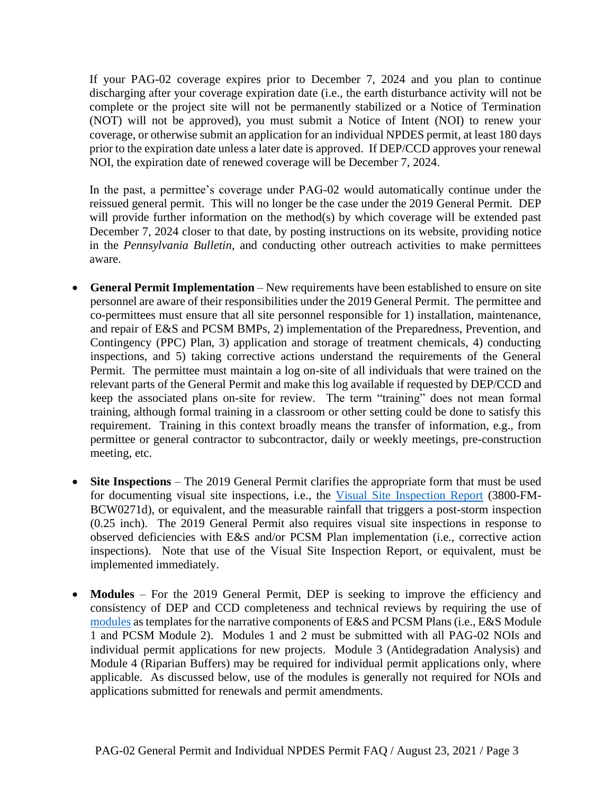If your PAG-02 coverage expires prior to December 7, 2024 and you plan to continue discharging after your coverage expiration date (i.e., the earth disturbance activity will not be complete or the project site will not be permanently stabilized or a Notice of Termination (NOT) will not be approved), you must submit a Notice of Intent (NOI) to renew your coverage, or otherwise submit an application for an individual NPDES permit, at least 180 days prior to the expiration date unless a later date is approved. If DEP/CCD approves your renewal NOI, the expiration date of renewed coverage will be December 7, 2024.

In the past, a permittee's coverage under PAG-02 would automatically continue under the reissued general permit. This will no longer be the case under the 2019 General Permit. DEP will provide further information on the method(s) by which coverage will be extended past December 7, 2024 closer to that date, by posting instructions on its website, providing notice in the *Pennsylvania Bulletin*, and conducting other outreach activities to make permittees aware.

- **General Permit Implementation** New requirements have been established to ensure on site personnel are aware of their responsibilities under the 2019 General Permit. The permittee and co-permittees must ensure that all site personnel responsible for 1) installation, maintenance, and repair of E&S and PCSM BMPs, 2) implementation of the Preparedness, Prevention, and Contingency (PPC) Plan, 3) application and storage of treatment chemicals, 4) conducting inspections, and 5) taking corrective actions understand the requirements of the General Permit. The permittee must maintain a log on-site of all individuals that were trained on the relevant parts of the General Permit and make this log available if requested by DEP/CCD and keep the associated plans on-site for review. The term "training" does not mean formal training, although formal training in a classroom or other setting could be done to satisfy this requirement. Training in this context broadly means the transfer of information, e.g., from permittee or general contractor to subcontractor, daily or weekly meetings, pre-construction meeting, etc.
- **Site Inspections** The 2019 General Permit clarifies the appropriate form that must be used for documenting visual site inspections, i.e., the [Visual Site Inspection Report](http://www.depgreenport.state.pa.us/elibrary/GetFolder?FolderID=2713) (3800-FM-BCW0271d), or equivalent, and the measurable rainfall that triggers a post-storm inspection (0.25 inch). The 2019 General Permit also requires visual site inspections in response to observed deficiencies with E&S and/or PCSM Plan implementation (i.e., corrective action inspections). Note that use of the Visual Site Inspection Report, or equivalent, must be implemented immediately.
- **Modules** For the 2019 General Permit, DEP is seeking to improve the efficiency and consistency of DEP and CCD completeness and technical reviews by requiring the use of [modules](http://www.depgreenport.state.pa.us/elibrary/GetFolder?FolderID=105480) as templates for the narrative components of E&S and PCSM Plans (i.e., E&S Module 1 and PCSM Module 2). Modules 1 and 2 must be submitted with all PAG-02 NOIs and individual permit applications for new projects. Module 3 (Antidegradation Analysis) and Module 4 (Riparian Buffers) may be required for individual permit applications only, where applicable. As discussed below, use of the modules is generally not required for NOIs and applications submitted for renewals and permit amendments.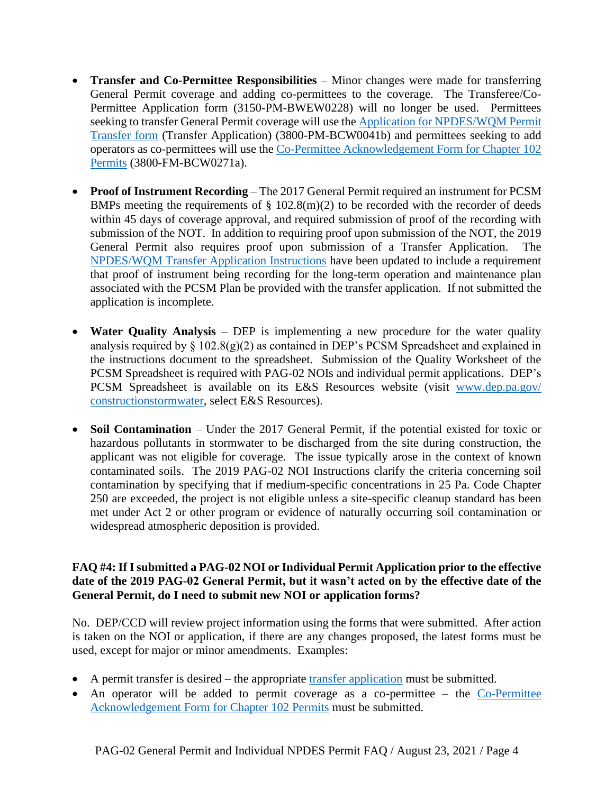- **Transfer and Co-Permittee Responsibilities** Minor changes were made for transferring General Permit coverage and adding co-permittees to the coverage. The Transferee/Co-Permittee Application form (3150-PM-BWEW0228) will no longer be used. Permittees seeking to transfer General Permit coverage will use the Application for NPDES/WQM Permit [Transfer form](http://www.depgreenport.state.pa.us/elibrary/GetFolder?FolderID=3665) (Transfer Application) (3800-PM-BCW0041b) and permittees seeking to add operators as co-permittees will use th[e Co-Permittee Acknowledgement Form for Chapter 102](http://www.depgreenport.state.pa.us/elibrary/GetFolder?FolderID=2713)  [Permits](http://www.depgreenport.state.pa.us/elibrary/GetFolder?FolderID=2713) (3800-FM-BCW0271a).
- **Proof of Instrument Recording** The 2017 General Permit required an instrument for PCSM BMPs meeting the requirements of  $\S$  102.8(m)(2) to be recorded with the recorder of deeds within 45 days of coverage approval, and required submission of proof of the recording with submission of the NOT. In addition to requiring proof upon submission of the NOT, the 2019 General Permit also requires proof upon submission of a Transfer Application. The [NPDES/WQM Transfer Application Instructions](http://www.depgreenport.state.pa.us/elibrary/GetFolder?FolderID=3665) have been updated to include a requirement that proof of instrument being recording for the long-term operation and maintenance plan associated with the PCSM Plan be provided with the transfer application. If not submitted the application is incomplete.
- **Water Quality Analysis** DEP is implementing a new procedure for the water quality analysis required by  $\S 102.8(g)(2)$  as contained in DEP's PCSM Spreadsheet and explained in the instructions document to the spreadsheet. Submission of the Quality Worksheet of the PCSM Spreadsheet is required with PAG-02 NOIs and individual permit applications. DEP's PCSM Spreadsheet is available on its E&S Resources website (visit [www.dep.pa.gov/](http://www.dep.pa.gov/%20constructionstormwater)  [constructionstormwater,](http://www.dep.pa.gov/%20constructionstormwater) select E&S Resources).
- **Soil Contamination** Under the 2017 General Permit, if the potential existed for toxic or hazardous pollutants in stormwater to be discharged from the site during construction, the applicant was not eligible for coverage. The issue typically arose in the context of known contaminated soils. The 2019 PAG-02 NOI Instructions clarify the criteria concerning soil contamination by specifying that if medium-specific concentrations in 25 Pa. Code Chapter 250 are exceeded, the project is not eligible unless a site-specific cleanup standard has been met under Act 2 or other program or evidence of naturally occurring soil contamination or widespread atmospheric deposition is provided.

#### **FAQ #4: If I submitted a PAG-02 NOI or Individual Permit Application prior to the effective date of the 2019 PAG-02 General Permit, but it wasn't acted on by the effective date of the General Permit, do I need to submit new NOI or application forms?**

No. DEP/CCD will review project information using the forms that were submitted. After action is taken on the NOI or application, if there are any changes proposed, the latest forms must be used, except for major or minor amendments. Examples:

- A permit transfer is desired the appropriate [transfer application](http://www.depgreenport.state.pa.us/elibrary/GetFolder?FolderID=3665) must be submitted.
- An operator will be added to permit coverage as a co-permittee the  $Co-Permitte$ Acknowledgement [Form for Chapter 102 Permits](http://www.depgreenport.state.pa.us/elibrary/GetFolder?FolderID=2713) must be submitted.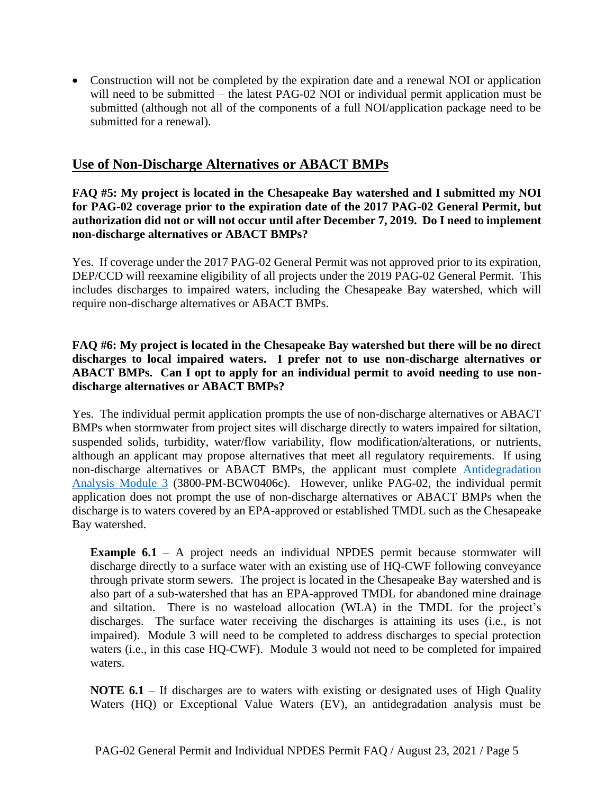• Construction will not be completed by the expiration date and a renewal NOI or application will need to be submitted – the latest PAG-02 NOI or individual permit application must be submitted (although not all of the components of a full NOI/application package need to be submitted for a renewal).

## **Use of Non-Discharge Alternatives or ABACT BMPs**

#### **FAQ #5: My project is located in the Chesapeake Bay watershed and I submitted my NOI for PAG-02 coverage prior to the expiration date of the 2017 PAG-02 General Permit, but authorization did not or will not occur until after December 7, 2019. Do I need to implement non-discharge alternatives or ABACT BMPs?**

Yes. If coverage under the 2017 PAG-02 General Permit was not approved prior to its expiration, DEP/CCD will reexamine eligibility of all projects under the 2019 PAG-02 General Permit. This includes discharges to impaired waters, including the Chesapeake Bay watershed, which will require non-discharge alternatives or ABACT BMPs.

**FAQ #6: My project is located in the Chesapeake Bay watershed but there will be no direct discharges to local impaired waters. I prefer not to use non-discharge alternatives or ABACT BMPs. Can I opt to apply for an individual permit to avoid needing to use nondischarge alternatives or ABACT BMPs?**

Yes. The individual permit application prompts the use of non-discharge alternatives or ABACT BMPs when stormwater from project sites will discharge directly to waters impaired for siltation, suspended solids, turbidity, water/flow variability, flow modification/alterations, or nutrients, although an applicant may propose alternatives that meet all regulatory requirements. If using non-discharge alternatives or ABACT BMPs, the applicant must complete [Antidegradation](http://www.depgreenport.state.pa.us/elibrary/GetFolder?FolderID=105480)  [Analysis Module 3](http://www.depgreenport.state.pa.us/elibrary/GetFolder?FolderID=105480) (3800-PM-BCW0406c). However, unlike PAG-02, the individual permit application does not prompt the use of non-discharge alternatives or ABACT BMPs when the discharge is to waters covered by an EPA-approved or established TMDL such as the Chesapeake Bay watershed.

**Example 6.1** – A project needs an individual NPDES permit because stormwater will discharge directly to a surface water with an existing use of HQ-CWF following conveyance through private storm sewers. The project is located in the Chesapeake Bay watershed and is also part of a sub-watershed that has an EPA-approved TMDL for abandoned mine drainage and siltation. There is no wasteload allocation (WLA) in the TMDL for the project's discharges. The surface water receiving the discharges is attaining its uses (i.e., is not impaired). Module 3 will need to be completed to address discharges to special protection waters (i.e., in this case HQ-CWF). Module 3 would not need to be completed for impaired waters.

**NOTE 6.1** – If discharges are to waters with existing or designated uses of High Quality Waters (HQ) or Exceptional Value Waters (EV), an antidegradation analysis must be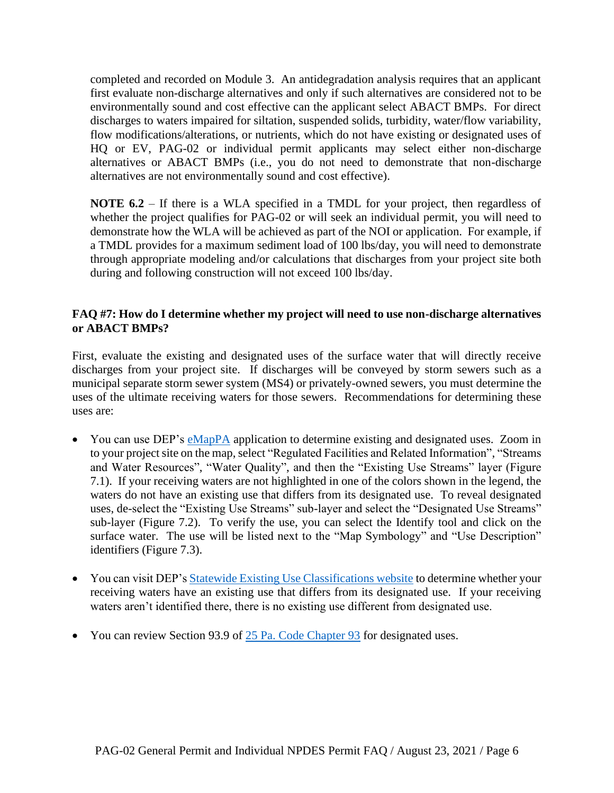completed and recorded on Module 3. An antidegradation analysis requires that an applicant first evaluate non-discharge alternatives and only if such alternatives are considered not to be environmentally sound and cost effective can the applicant select ABACT BMPs. For direct discharges to waters impaired for siltation, suspended solids, turbidity, water/flow variability, flow modifications/alterations, or nutrients, which do not have existing or designated uses of HQ or EV, PAG-02 or individual permit applicants may select either non-discharge alternatives or ABACT BMPs (i.e., you do not need to demonstrate that non-discharge alternatives are not environmentally sound and cost effective).

**NOTE 6.2** – If there is a WLA specified in a TMDL for your project, then regardless of whether the project qualifies for PAG-02 or will seek an individual permit, you will need to demonstrate how the WLA will be achieved as part of the NOI or application. For example, if a TMDL provides for a maximum sediment load of 100 lbs/day, you will need to demonstrate through appropriate modeling and/or calculations that discharges from your project site both during and following construction will not exceed 100 lbs/day.

#### **FAQ #7: How do I determine whether my project will need to use non-discharge alternatives or ABACT BMPs?**

First, evaluate the existing and designated uses of the surface water that will directly receive discharges from your project site. If discharges will be conveyed by storm sewers such as a municipal separate storm sewer system (MS4) or privately-owned sewers, you must determine the uses of the ultimate receiving waters for those sewers. Recommendations for determining these uses are:

- You can use DEP's [eMapPA](http://www.depgis.state.pa.us/emappa/) application to determine existing and designated uses. Zoom in to your project site on the map, select "Regulated Facilities and Related Information", "Streams and Water Resources", "Water Quality", and then the "Existing Use Streams" layer (Figure 7.1). If your receiving waters are not highlighted in one of the colors shown in the legend, the waters do not have an existing use that differs from its designated use. To reveal designated uses, de-select the "Existing Use Streams" sub-layer and select the "Designated Use Streams" sub-layer (Figure 7.2). To verify the use, you can select the Identify tool and click on the surface water. The use will be listed next to the "Map Symbology" and "Use Description" identifiers (Figure 7.3).
- You can visit DEP's [Statewide Existing Use Classifications website](https://www.dep.pa.gov/Business/Water/CleanWater/WaterQuality/StreamRedesignations/Pages/Statewide-Existing-Use-Classifications.aspx) to determine whether your receiving waters have an existing use that differs from its designated use. If your receiving waters aren't identified there, there is no existing use different from designated use.
- You can review Section 93.9 of [25 Pa. Code Chapter 93](http://www.pacodeandbulletin.gov/Display/pacode?file=/secure/pacode/data/025/chapter93/chap93toc.html&d=) for designated uses.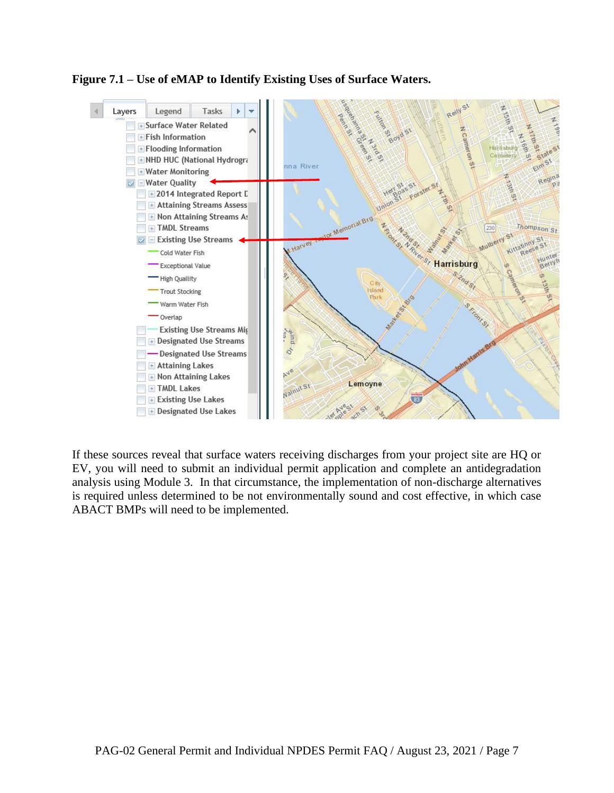

**Figure 7.1 – Use of eMAP to Identify Existing Uses of Surface Waters.**

If these sources reveal that surface waters receiving discharges from your project site are HQ or EV, you will need to submit an individual permit application and complete an antidegradation analysis using Module 3. In that circumstance, the implementation of non-discharge alternatives is required unless determined to be not environmentally sound and cost effective, in which case ABACT BMPs will need to be implemented.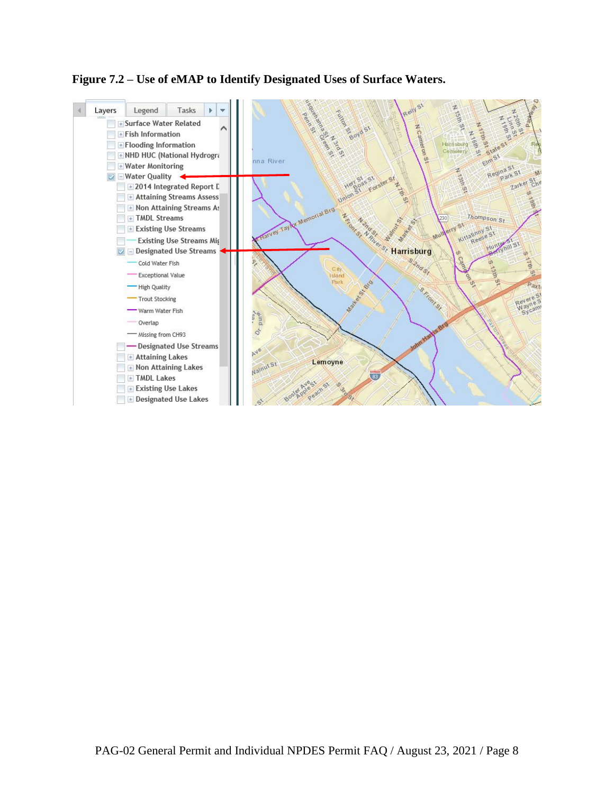## **Figure 7.2 – Use of eMAP to Identify Designated Uses of Surface Waters.**

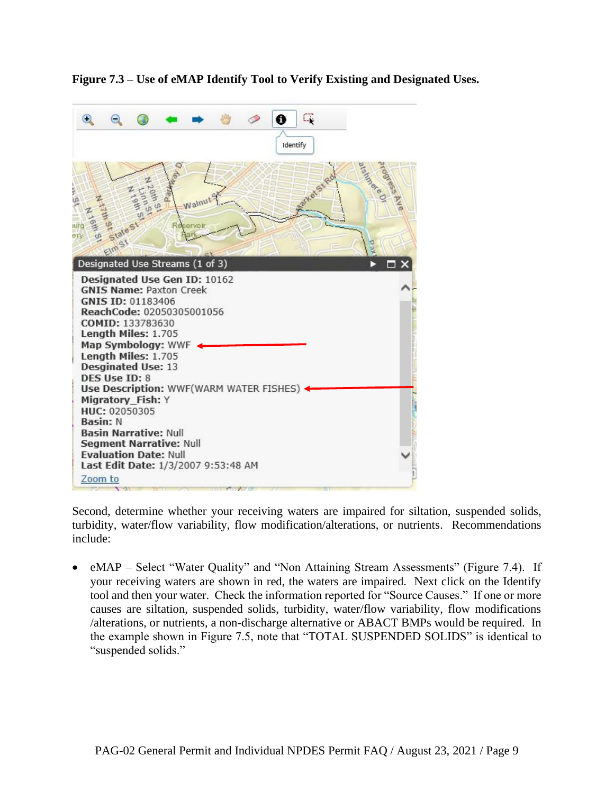

**Figure 7.3 – Use of eMAP Identify Tool to Verify Existing and Designated Uses.**

Second, determine whether your receiving waters are impaired for siltation, suspended solids, turbidity, water/flow variability, flow modification/alterations, or nutrients. Recommendations include:

• eMAP – Select "Water Quality" and "Non Attaining Stream Assessments" (Figure 7.4). If your receiving waters are shown in red, the waters are impaired. Next click on the Identify tool and then your water. Check the information reported for "Source Causes." If one or more causes are siltation, suspended solids, turbidity, water/flow variability, flow modifications /alterations, or nutrients, a non-discharge alternative or ABACT BMPs would be required. In the example shown in Figure 7.5, note that "TOTAL SUSPENDED SOLIDS" is identical to "suspended solids."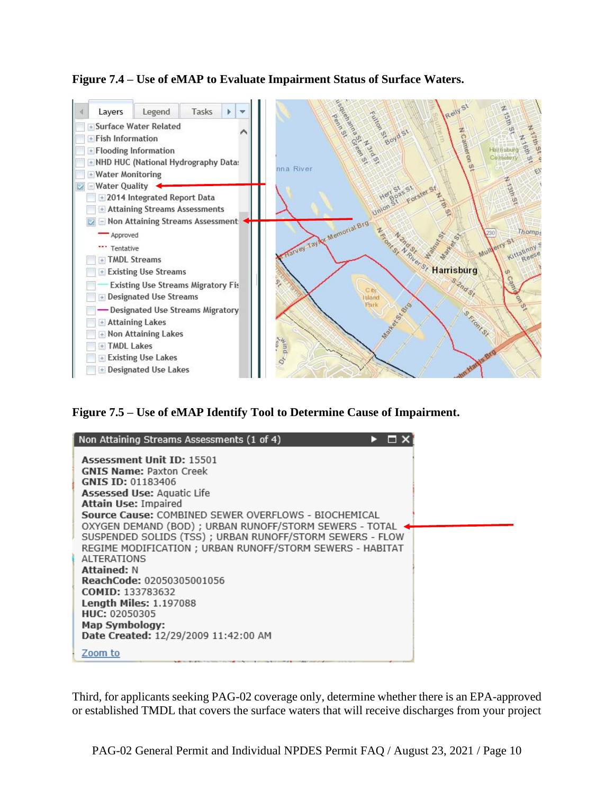#### **Figure 7.4 – Use of eMAP to Evaluate Impairment Status of Surface Waters.**



**Figure 7.5 – Use of eMAP Identify Tool to Determine Cause of Impairment.**

| Non Attaining Streams Assessments (1 of 4)                |
|-----------------------------------------------------------|
| <b>Assessment Unit ID: 15501</b>                          |
| <b>GNIS Name: Paxton Creek</b>                            |
| GNIS ID: 01183406                                         |
| <b>Assessed Use: Aquatic Life</b>                         |
| <b>Attain Use: Impaired</b>                               |
| Source Cause: COMBINED SEWER OVERFLOWS - BIOCHEMICAL      |
| OXYGEN DEMAND (BOD) ; URBAN RUNOFF/STORM SEWERS - TOTAL   |
| SUSPENDED SOLIDS (TSS) ; URBAN RUNOFF/STORM SEWERS - FLOW |
| REGIME MODIFICATION ; URBAN RUNOFF/STORM SEWERS - HABITAT |
| <b>ALTERATIONS</b>                                        |
| <b>Attained: N</b>                                        |
| ReachCode: 02050305001056                                 |
| <b>COMID: 133783632</b>                                   |
| <b>Length Miles: 1.197088</b>                             |
| HUC: 02050305                                             |
| <b>Map Symbology:</b>                                     |
| Date Created: 12/29/2009 11:42:00 AM                      |
| Zoom to                                                   |

Third, for applicants seeking PAG-02 coverage only, determine whether there is an EPA-approved or established TMDL that covers the surface waters that will receive discharges from your project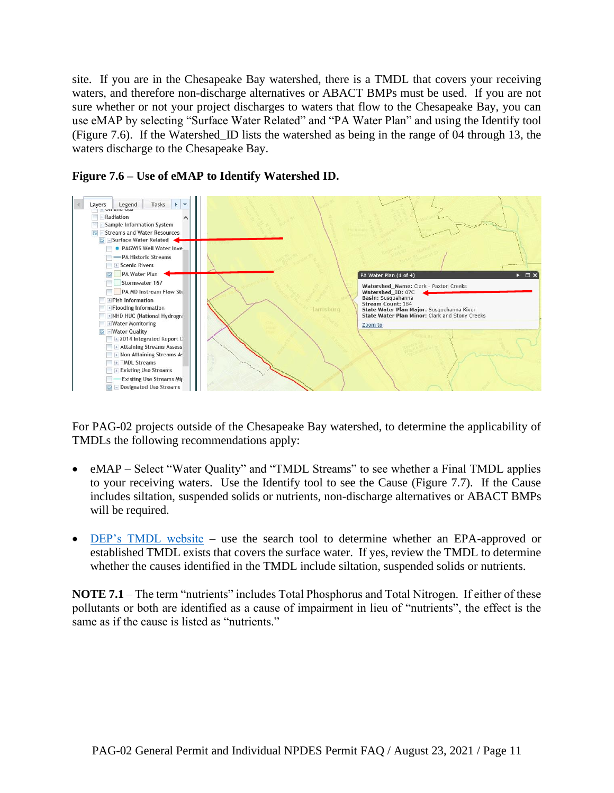site. If you are in the Chesapeake Bay watershed, there is a TMDL that covers your receiving waters, and therefore non-discharge alternatives or ABACT BMPs must be used. If you are not sure whether or not your project discharges to waters that flow to the Chesapeake Bay, you can use eMAP by selecting "Surface Water Related" and "PA Water Plan" and using the Identify tool (Figure 7.6). If the Watershed\_ID lists the watershed as being in the range of 04 through 13, the waters discharge to the Chesapeake Bay.



**Figure 7.6 – Use of eMAP to Identify Watershed ID.**

For PAG-02 projects outside of the Chesapeake Bay watershed, to determine the applicability of TMDLs the following recommendations apply:

- eMAP Select "Water Quality" and "TMDL Streams" to see whether a Final TMDL applies to your receiving waters. Use the Identify tool to see the Cause (Figure 7.7). If the Cause includes siltation, suspended solids or nutrients, non-discharge alternatives or ABACT BMPs will be required.
- [DEP's TMDL website](https://www.ahs.dep.pa.gov/TMDL/) use the search tool to determine whether an EPA-approved or established TMDL exists that covers the surface water. If yes, review the TMDL to determine whether the causes identified in the TMDL include siltation, suspended solids or nutrients.

**NOTE 7.1** – The term "nutrients" includes Total Phosphorus and Total Nitrogen. If either of these pollutants or both are identified as a cause of impairment in lieu of "nutrients", the effect is the same as if the cause is listed as "nutrients."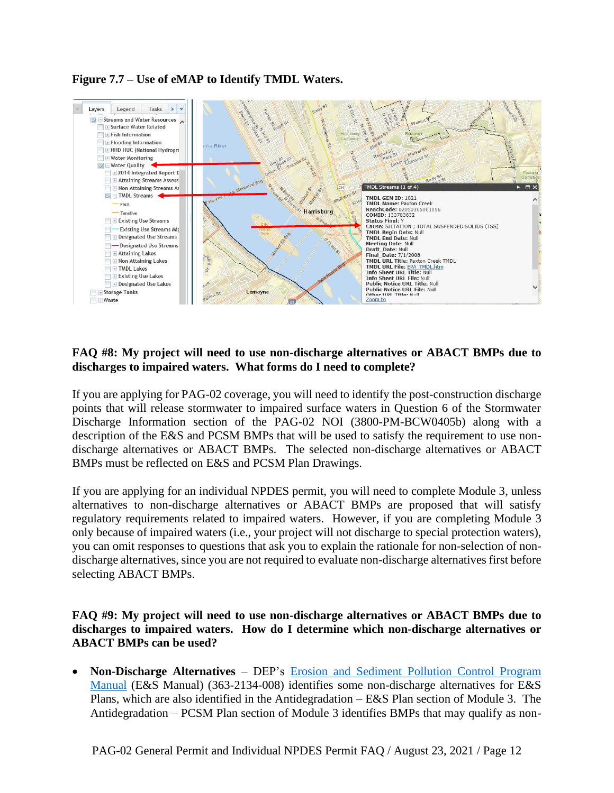



#### **FAQ #8: My project will need to use non-discharge alternatives or ABACT BMPs due to discharges to impaired waters. What forms do I need to complete?**

If you are applying for PAG-02 coverage, you will need to identify the post-construction discharge points that will release stormwater to impaired surface waters in Question 6 of the Stormwater Discharge Information section of the PAG-02 NOI (3800-PM-BCW0405b) along with a description of the E&S and PCSM BMPs that will be used to satisfy the requirement to use nondischarge alternatives or ABACT BMPs. The selected non-discharge alternatives or ABACT BMPs must be reflected on E&S and PCSM Plan Drawings.

If you are applying for an individual NPDES permit, you will need to complete Module 3, unless alternatives to non-discharge alternatives or ABACT BMPs are proposed that will satisfy regulatory requirements related to impaired waters. However, if you are completing Module 3 only because of impaired waters (i.e., your project will not discharge to special protection waters), you can omit responses to questions that ask you to explain the rationale for non-selection of nondischarge alternatives, since you are not required to evaluate non-discharge alternatives first before selecting ABACT BMPs.

**FAQ #9: My project will need to use non-discharge alternatives or ABACT BMPs due to discharges to impaired waters. How do I determine which non-discharge alternatives or ABACT BMPs can be used?**

• **Non-Discharge Alternatives** – DEP's [Erosion and Sediment Pollution Control Program](http://www.depgreenport.state.pa.us/elibrary/GetDocument?docId=7700&DocName=EROSION%20AND%20SEDIMENT%20POLLUTION%20CONTROL%20PROGRAM%20MANUAL.PDF%20%20%3Cspan%20style%3D%22color%3Agreen%3B%22%3E%3C%2Fspan%3E%20%3Cspan%20style%3D%22color%3Ablue%3B%22%3E%3C%2Fspan%3E)  [Manual](http://www.depgreenport.state.pa.us/elibrary/GetDocument?docId=7700&DocName=EROSION%20AND%20SEDIMENT%20POLLUTION%20CONTROL%20PROGRAM%20MANUAL.PDF%20%20%3Cspan%20style%3D%22color%3Agreen%3B%22%3E%3C%2Fspan%3E%20%3Cspan%20style%3D%22color%3Ablue%3B%22%3E%3C%2Fspan%3E) (E&S Manual) (363-2134-008) identifies some non-discharge alternatives for E&S Plans, which are also identified in the Antidegradation – E&S Plan section of Module 3. The Antidegradation – PCSM Plan section of Module 3 identifies BMPs that may qualify as non-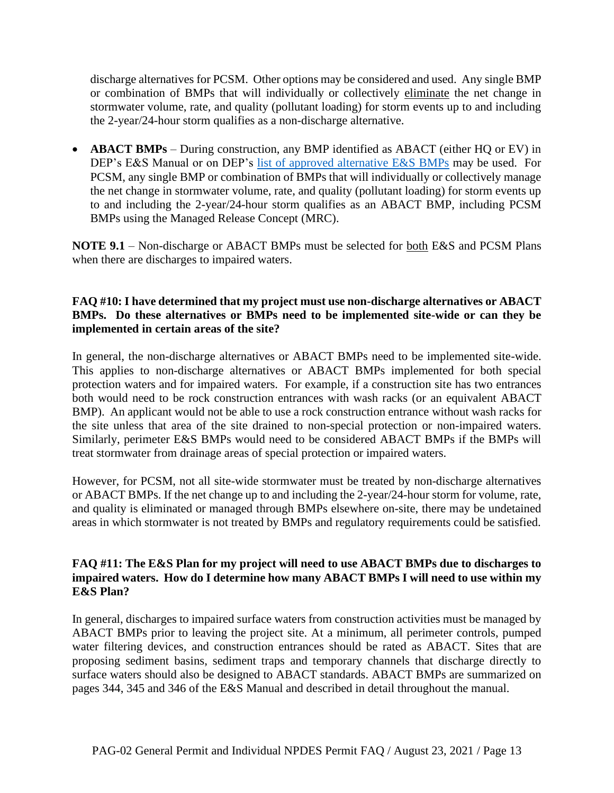discharge alternatives for PCSM. Other options may be considered and used. Any single BMP or combination of BMPs that will individually or collectively eliminate the net change in stormwater volume, rate, and quality (pollutant loading) for storm events up to and including the 2-year/24-hour storm qualifies as a non-discharge alternative.

• **ABACT BMPs** – During construction, any BMP identified as ABACT (either HQ or EV) in DEP's E&S Manual or on DEP's [list of approved alternative E&S BMPs](http://files.dep.state.pa.us/Water/BPNPSM/StormwaterManagement/ConstructionStormwater/Reviewed_Alternative_BMPs.pdf) may be used. For PCSM, any single BMP or combination of BMPs that will individually or collectively manage the net change in stormwater volume, rate, and quality (pollutant loading) for storm events up to and including the 2-year/24-hour storm qualifies as an ABACT BMP, including PCSM BMPs using the Managed Release Concept (MRC).

**NOTE 9.1** – Non-discharge or ABACT BMPs must be selected for both E&S and PCSM Plans when there are discharges to impaired waters.

#### **FAQ #10: I have determined that my project must use non-discharge alternatives or ABACT BMPs. Do these alternatives or BMPs need to be implemented site-wide or can they be implemented in certain areas of the site?**

In general, the non-discharge alternatives or ABACT BMPs need to be implemented site-wide. This applies to non-discharge alternatives or ABACT BMPs implemented for both special protection waters and for impaired waters. For example, if a construction site has two entrances both would need to be rock construction entrances with wash racks (or an equivalent ABACT BMP). An applicant would not be able to use a rock construction entrance without wash racks for the site unless that area of the site drained to non-special protection or non-impaired waters. Similarly, perimeter E&S BMPs would need to be considered ABACT BMPs if the BMPs will treat stormwater from drainage areas of special protection or impaired waters.

However, for PCSM, not all site-wide stormwater must be treated by non-discharge alternatives or ABACT BMPs. If the net change up to and including the 2-year/24-hour storm for volume, rate, and quality is eliminated or managed through BMPs elsewhere on-site, there may be undetained areas in which stormwater is not treated by BMPs and regulatory requirements could be satisfied.

#### **FAQ #11: The E&S Plan for my project will need to use ABACT BMPs due to discharges to impaired waters. How do I determine how many ABACT BMPs I will need to use within my E&S Plan?**

In general, discharges to impaired surface waters from construction activities must be managed by ABACT BMPs prior to leaving the project site. At a minimum, all perimeter controls, pumped water filtering devices, and construction entrances should be rated as ABACT. Sites that are proposing sediment basins, sediment traps and temporary channels that discharge directly to surface waters should also be designed to ABACT standards. ABACT BMPs are summarized on pages 344, 345 and 346 of the E&S Manual and described in detail throughout the manual.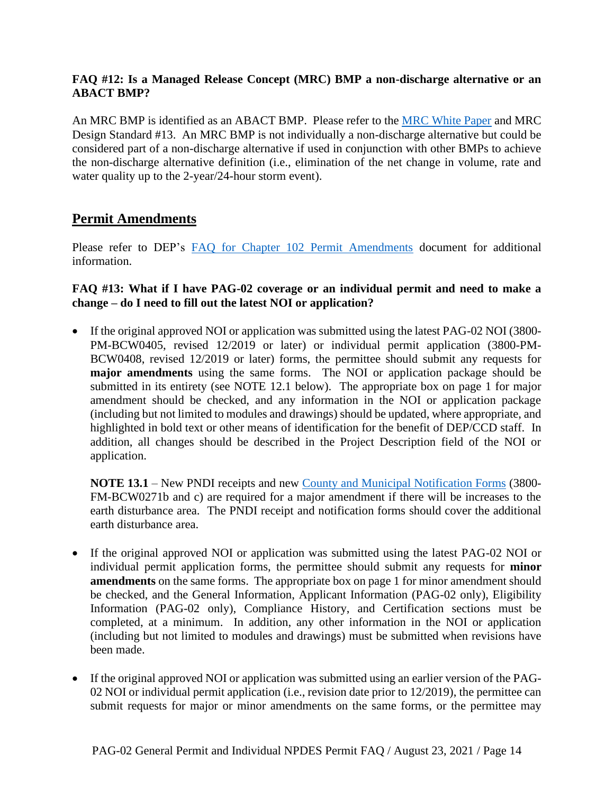#### **FAQ #12: Is a Managed Release Concept (MRC) BMP a non-discharge alternative or an ABACT BMP?**

An MRC BMP is identified as an ABACT BMP. Please refer to the [MRC White Paper](http://files.dep.state.pa.us/Water/BPNPSM/StormwaterManagement/ConstructionStormwater/Managed_Release_Concept.pdf) and MRC Design Standard #13. An MRC BMP is not individually a non-discharge alternative but could be considered part of a non-discharge alternative if used in conjunction with other BMPs to achieve the non-discharge alternative definition (i.e., elimination of the net change in volume, rate and water quality up to the 2-year/24-hour storm event).

## **Permit Amendments**

Please refer to DEP's [FAQ for Chapter 102 Permit Amendments](http://files.dep.state.pa.us/Water/BPNPSM/StormwaterManagement/ConstructionStormwater/Chapter_102_Permit_Amendments_FAQ.pdf) document for additional information.

#### **FAQ #13: What if I have PAG-02 coverage or an individual permit and need to make a change – do I need to fill out the latest NOI or application?**

• If the original approved NOI or application was submitted using the latest PAG-02 NOI (3800-PM-BCW0405, revised 12/2019 or later) or individual permit application (3800-PM-BCW0408, revised 12/2019 or later) forms, the permittee should submit any requests for **major amendments** using the same forms. The NOI or application package should be submitted in its entirety (see NOTE 12.1 below). The appropriate box on page 1 for major amendment should be checked, and any information in the NOI or application package (including but not limited to modules and drawings) should be updated, where appropriate, and highlighted in bold text or other means of identification for the benefit of DEP/CCD staff. In addition, all changes should be described in the Project Description field of the NOI or application.

**NOTE 13.1** – New PNDI receipts and new [County and Municipal Notification Forms](http://www.depgreenport.state.pa.us/elibrary/GetFolder?FolderID=2713) (3800- FM-BCW0271b and c) are required for a major amendment if there will be increases to the earth disturbance area. The PNDI receipt and notification forms should cover the additional earth disturbance area.

- If the original approved NOI or application was submitted using the latest PAG-02 NOI or individual permit application forms, the permittee should submit any requests for **minor amendments** on the same forms. The appropriate box on page 1 for minor amendment should be checked, and the General Information, Applicant Information (PAG-02 only), Eligibility Information (PAG-02 only), Compliance History, and Certification sections must be completed, at a minimum. In addition, any other information in the NOI or application (including but not limited to modules and drawings) must be submitted when revisions have been made.
- If the original approved NOI or application was submitted using an earlier version of the PAG-02 NOI or individual permit application (i.e., revision date prior to 12/2019), the permittee can submit requests for major or minor amendments on the same forms, or the permittee may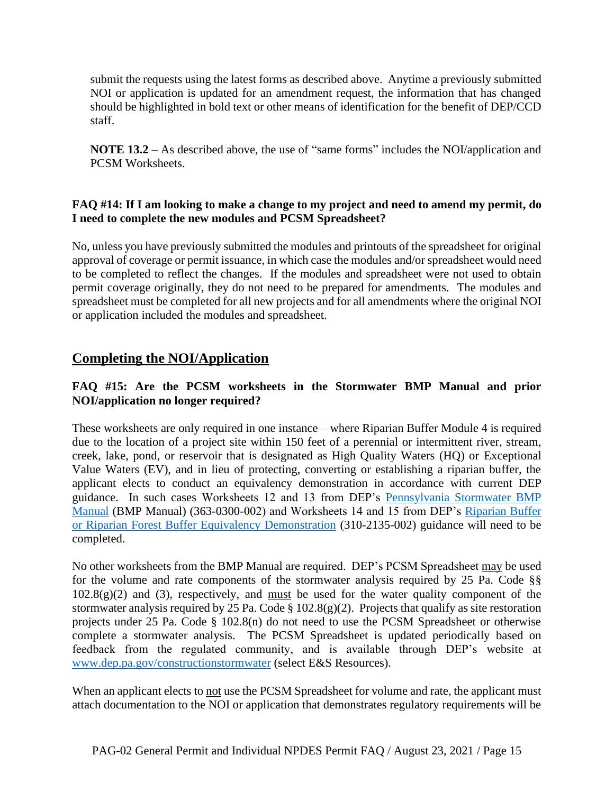submit the requests using the latest forms as described above. Anytime a previously submitted NOI or application is updated for an amendment request, the information that has changed should be highlighted in bold text or other means of identification for the benefit of DEP/CCD staff.

**NOTE 13.2** – As described above, the use of "same forms" includes the NOI/application and PCSM Worksheets.

#### **FAQ #14: If I am looking to make a change to my project and need to amend my permit, do I need to complete the new modules and PCSM Spreadsheet?**

No, unless you have previously submitted the modules and printouts of the spreadsheet for original approval of coverage or permit issuance, in which case the modules and/or spreadsheet would need to be completed to reflect the changes. If the modules and spreadsheet were not used to obtain permit coverage originally, they do not need to be prepared for amendments. The modules and spreadsheet must be completed for all new projects and for all amendments where the original NOI or application included the modules and spreadsheet.

## **Completing the NOI/Application**

### **FAQ #15: Are the PCSM worksheets in the Stormwater BMP Manual and prior NOI/application no longer required?**

These worksheets are only required in one instance – where Riparian Buffer Module 4 is required due to the location of a project site within 150 feet of a perennial or intermittent river, stream, creek, lake, pond, or reservoir that is designated as High Quality Waters (HQ) or Exceptional Value Waters (EV), and in lieu of protecting, converting or establishing a riparian buffer, the applicant elects to conduct an equivalency demonstration in accordance with current DEP guidance. In such cases Worksheets 12 and 13 from DEP's [Pennsylvania Stormwater BMP](http://www.depgreenport.state.pa.us/elibrary/GetFolder?FolderID=4673)  [Manual](http://www.depgreenport.state.pa.us/elibrary/GetFolder?FolderID=4673) (BMP Manual) (363-0300-002) and Worksheets 14 and 15 from DEP's Riparian Buffer [or Riparian Forest Buffer Equivalency Demonstration](http://www.depgreenport.state.pa.us/elibrary/GetDocument?docId=7956&DocName=RIPARIAN%20BUFFER%20OR%20RIPARIAN%20FOREST%20BUFFER%20EQUIVALENCY%20DEMONSTRATION.PDF%20%20%3Cspan%20style%3D%22color%3Agreen%3B%22%3EINTERIM%20FINAL%20GUIDANCE%3C%2Fspan%3E%20%3Cspan%20style%3D%22color%3Ablue%3B%22%3E%3C%2Fspan%3E) (310-2135-002) guidance will need to be completed.

No other worksheets from the BMP Manual are required. DEP's PCSM Spreadsheet may be used for the volume and rate components of the stormwater analysis required by 25 Pa. Code §§  $102.8(g)(2)$  and (3), respectively, and must be used for the water quality component of the stormwater analysis required by 25 Pa. Code § 102.8(g)(2). Projects that qualify as site restoration projects under 25 Pa. Code § 102.8(n) do not need to use the PCSM Spreadsheet or otherwise complete a stormwater analysis. The PCSM Spreadsheet is updated periodically based on feedback from the regulated community, and is available through DEP's website at [www.dep.pa.gov/constructionstormwater](http://www.dep.pa.gov/constructionstormwater) (select E&S Resources).

When an applicant elects to not use the PCSM Spreadsheet for volume and rate, the applicant must attach documentation to the NOI or application that demonstrates regulatory requirements will be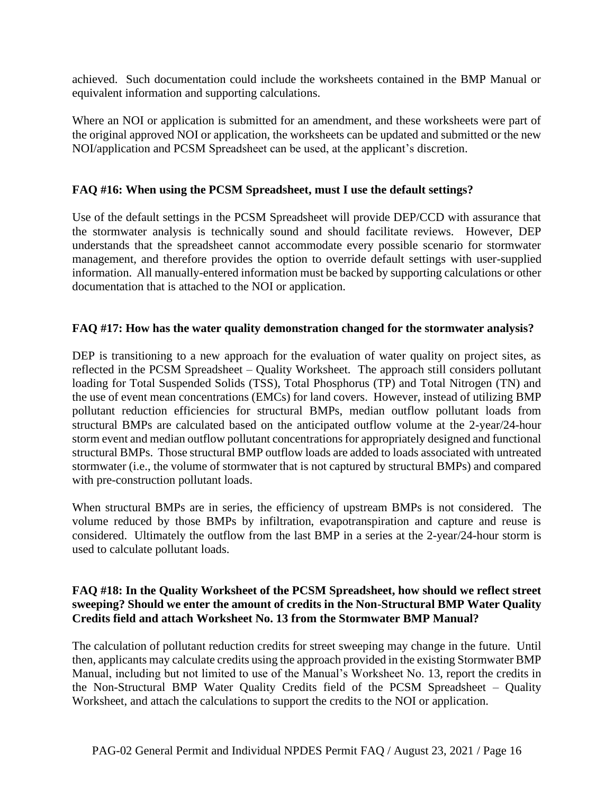achieved. Such documentation could include the worksheets contained in the BMP Manual or equivalent information and supporting calculations.

Where an NOI or application is submitted for an amendment, and these worksheets were part of the original approved NOI or application, the worksheets can be updated and submitted or the new NOI/application and PCSM Spreadsheet can be used, at the applicant's discretion.

#### **FAQ #16: When using the PCSM Spreadsheet, must I use the default settings?**

Use of the default settings in the PCSM Spreadsheet will provide DEP/CCD with assurance that the stormwater analysis is technically sound and should facilitate reviews. However, DEP understands that the spreadsheet cannot accommodate every possible scenario for stormwater management, and therefore provides the option to override default settings with user-supplied information. All manually-entered information must be backed by supporting calculations or other documentation that is attached to the NOI or application.

#### **FAQ #17: How has the water quality demonstration changed for the stormwater analysis?**

DEP is transitioning to a new approach for the evaluation of water quality on project sites, as reflected in the PCSM Spreadsheet – Quality Worksheet. The approach still considers pollutant loading for Total Suspended Solids (TSS), Total Phosphorus (TP) and Total Nitrogen (TN) and the use of event mean concentrations (EMCs) for land covers. However, instead of utilizing BMP pollutant reduction efficiencies for structural BMPs, median outflow pollutant loads from structural BMPs are calculated based on the anticipated outflow volume at the 2-year/24-hour storm event and median outflow pollutant concentrations for appropriately designed and functional structural BMPs. Those structural BMP outflow loads are added to loads associated with untreated stormwater (i.e., the volume of stormwater that is not captured by structural BMPs) and compared with pre-construction pollutant loads.

When structural BMPs are in series, the efficiency of upstream BMPs is not considered. The volume reduced by those BMPs by infiltration, evapotranspiration and capture and reuse is considered. Ultimately the outflow from the last BMP in a series at the 2-year/24-hour storm is used to calculate pollutant loads.

#### **FAQ #18: In the Quality Worksheet of the PCSM Spreadsheet, how should we reflect street sweeping? Should we enter the amount of credits in the Non-Structural BMP Water Quality Credits field and attach Worksheet No. 13 from the Stormwater BMP Manual?**

The calculation of pollutant reduction credits for street sweeping may change in the future. Until then, applicants may calculate credits using the approach provided in the existing Stormwater BMP Manual, including but not limited to use of the Manual's Worksheet No. 13, report the credits in the Non-Structural BMP Water Quality Credits field of the PCSM Spreadsheet – Quality Worksheet, and attach the calculations to support the credits to the NOI or application.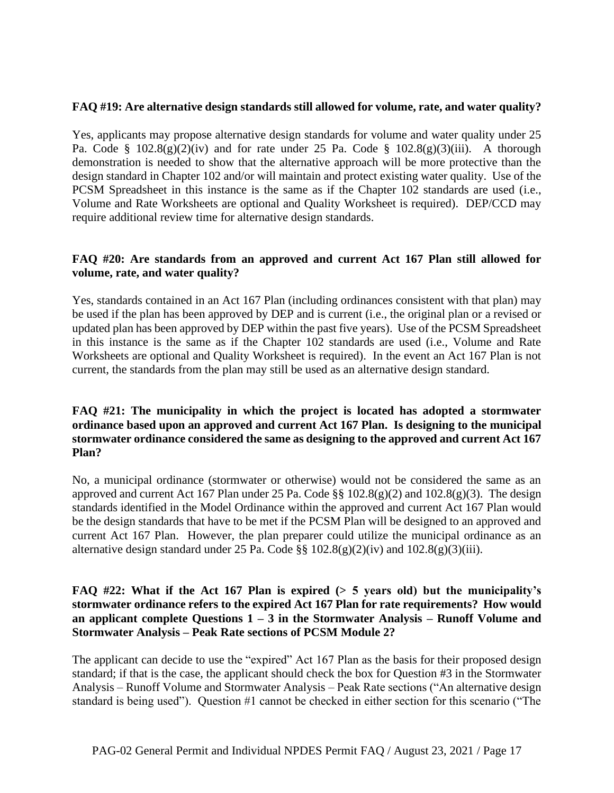#### **FAQ #19: Are alternative design standards still allowed for volume, rate, and water quality?**

Yes, applicants may propose alternative design standards for volume and water quality under 25 Pa. Code §  $102.8(g)(2)(iv)$  and for rate under 25 Pa. Code §  $102.8(g)(3)(iii)$ . A thorough demonstration is needed to show that the alternative approach will be more protective than the design standard in Chapter 102 and/or will maintain and protect existing water quality. Use of the PCSM Spreadsheet in this instance is the same as if the Chapter 102 standards are used (i.e., Volume and Rate Worksheets are optional and Quality Worksheet is required). DEP/CCD may require additional review time for alternative design standards.

#### **FAQ #20: Are standards from an approved and current Act 167 Plan still allowed for volume, rate, and water quality?**

Yes, standards contained in an Act 167 Plan (including ordinances consistent with that plan) may be used if the plan has been approved by DEP and is current (i.e., the original plan or a revised or updated plan has been approved by DEP within the past five years). Use of the PCSM Spreadsheet in this instance is the same as if the Chapter 102 standards are used (i.e., Volume and Rate Worksheets are optional and Quality Worksheet is required). In the event an Act 167 Plan is not current, the standards from the plan may still be used as an alternative design standard.

#### **FAQ #21: The municipality in which the project is located has adopted a stormwater ordinance based upon an approved and current Act 167 Plan. Is designing to the municipal stormwater ordinance considered the same as designing to the approved and current Act 167 Plan?**

No, a municipal ordinance (stormwater or otherwise) would not be considered the same as an approved and current Act 167 Plan under 25 Pa. Code  $\S$  102.8(g)(2) and 102.8(g)(3). The design standards identified in the Model Ordinance within the approved and current Act 167 Plan would be the design standards that have to be met if the PCSM Plan will be designed to an approved and current Act 167 Plan. However, the plan preparer could utilize the municipal ordinance as an alternative design standard under 25 Pa. Code  $\S$  102.8(g)(2)(iv) and 102.8(g)(3)(iii).

#### **FAQ #22: What if the Act 167 Plan is expired (> 5 years old) but the municipality's stormwater ordinance refers to the expired Act 167 Plan for rate requirements? How would an applicant complete Questions 1 – 3 in the Stormwater Analysis – Runoff Volume and Stormwater Analysis – Peak Rate sections of PCSM Module 2?**

The applicant can decide to use the "expired" Act 167 Plan as the basis for their proposed design standard; if that is the case, the applicant should check the box for Question #3 in the Stormwater Analysis – Runoff Volume and Stormwater Analysis – Peak Rate sections ("An alternative design standard is being used"). Question #1 cannot be checked in either section for this scenario ("The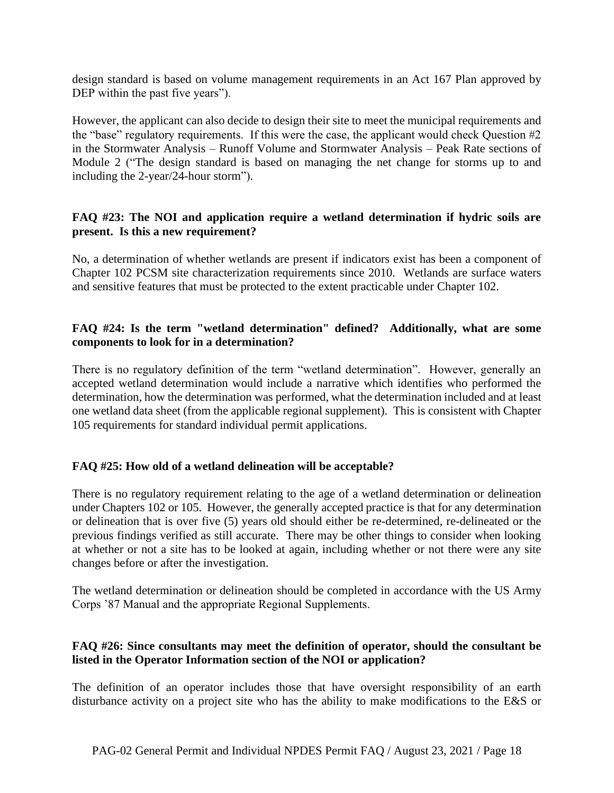design standard is based on volume management requirements in an Act 167 Plan approved by DEP within the past five years").

However, the applicant can also decide to design their site to meet the municipal requirements and the "base" regulatory requirements. If this were the case, the applicant would check Question #2 in the Stormwater Analysis – Runoff Volume and Stormwater Analysis – Peak Rate sections of Module 2 ("The design standard is based on managing the net change for storms up to and including the 2-year/24-hour storm").

#### **FAQ #23: The NOI and application require a wetland determination if hydric soils are present. Is this a new requirement?**

No, a determination of whether wetlands are present if indicators exist has been a component of Chapter 102 PCSM site characterization requirements since 2010. Wetlands are surface waters and sensitive features that must be protected to the extent practicable under Chapter 102.

#### **FAQ #24: Is the term "wetland determination" defined? Additionally, what are some components to look for in a determination?**

There is no regulatory definition of the term "wetland determination". However, generally an accepted wetland determination would include a narrative which identifies who performed the determination, how the determination was performed, what the determination included and at least one wetland data sheet (from the applicable regional supplement). This is consistent with Chapter 105 requirements for standard individual permit applications.

#### **FAQ #25: How old of a wetland delineation will be acceptable?**

There is no regulatory requirement relating to the age of a wetland determination or delineation under Chapters 102 or 105. However, the generally accepted practice is that for any determination or delineation that is over five (5) years old should either be re-determined, re-delineated or the previous findings verified as still accurate. There may be other things to consider when looking at whether or not a site has to be looked at again, including whether or not there were any site changes before or after the investigation.

The wetland determination or delineation should be completed in accordance with the US Army Corps '87 Manual and the appropriate Regional Supplements.

#### **FAQ #26: Since consultants may meet the definition of operator, should the consultant be listed in the Operator Information section of the NOI or application?**

The definition of an operator includes those that have oversight responsibility of an earth disturbance activity on a project site who has the ability to make modifications to the E&S or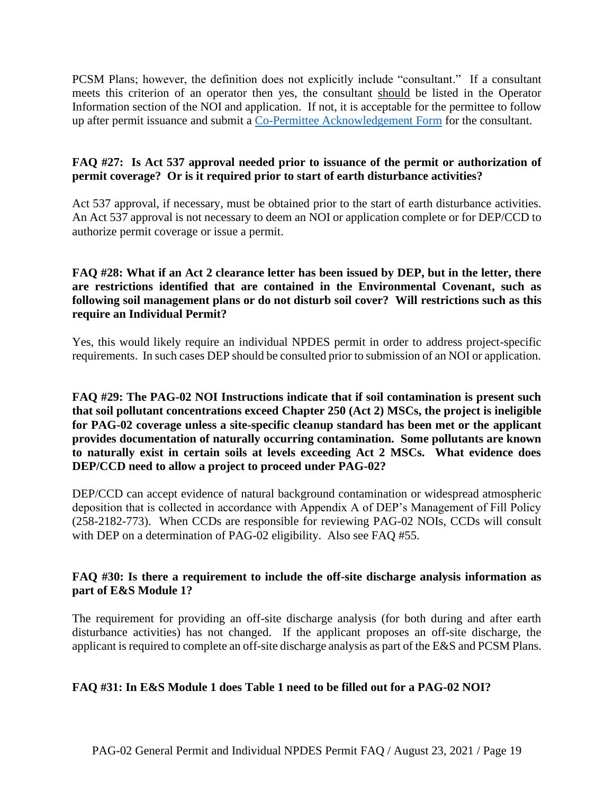PCSM Plans; however, the definition does not explicitly include "consultant." If a consultant meets this criterion of an operator then yes, the consultant should be listed in the Operator Information section of the NOI and application. If not, it is acceptable for the permittee to follow up after permit issuance and submit a [Co-Permittee Acknowledgement Form](http://www.depgreenport.state.pa.us/elibrary/GetFolder?FolderID=2713) for the consultant.

#### **FAQ #27: Is Act 537 approval needed prior to issuance of the permit or authorization of permit coverage? Or is it required prior to start of earth disturbance activities?**

Act 537 approval, if necessary, must be obtained prior to the start of earth disturbance activities. An Act 537 approval is not necessary to deem an NOI or application complete or for DEP/CCD to authorize permit coverage or issue a permit.

#### **FAQ #28: What if an Act 2 clearance letter has been issued by DEP, but in the letter, there are restrictions identified that are contained in the Environmental Covenant, such as following soil management plans or do not disturb soil cover? Will restrictions such as this require an Individual Permit?**

Yes, this would likely require an individual NPDES permit in order to address project-specific requirements. In such cases DEP should be consulted prior to submission of an NOI or application.

**FAQ #29: The PAG-02 NOI Instructions indicate that if soil contamination is present such that soil pollutant concentrations exceed Chapter 250 (Act 2) MSCs, the project is ineligible for PAG-02 coverage unless a site-specific cleanup standard has been met or the applicant provides documentation of naturally occurring contamination. Some pollutants are known to naturally exist in certain soils at levels exceeding Act 2 MSCs. What evidence does DEP/CCD need to allow a project to proceed under PAG-02?**

DEP/CCD can accept evidence of natural background contamination or widespread atmospheric deposition that is collected in accordance with Appendix A of DEP's Management of Fill Policy (258-2182-773). When CCDs are responsible for reviewing PAG-02 NOIs, CCDs will consult with DEP on a determination of PAG-02 eligibility. Also see FAQ #55.

#### **FAQ #30: Is there a requirement to include the off-site discharge analysis information as part of E&S Module 1?**

The requirement for providing an off-site discharge analysis (for both during and after earth disturbance activities) has not changed. If the applicant proposes an off-site discharge, the applicant is required to complete an off-site discharge analysis as part of the E&S and PCSM Plans.

#### **FAQ #31: In E&S Module 1 does Table 1 need to be filled out for a PAG-02 NOI?**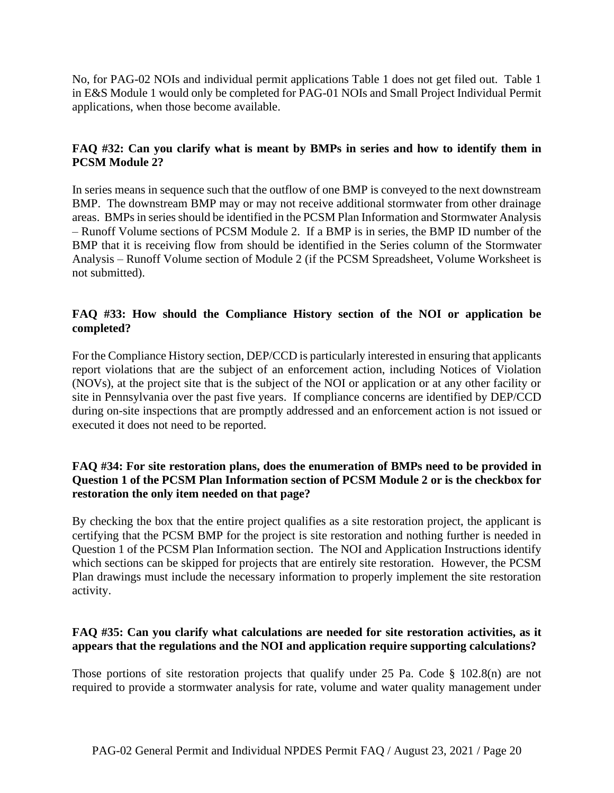No, for PAG-02 NOIs and individual permit applications Table 1 does not get filed out. Table 1 in E&S Module 1 would only be completed for PAG-01 NOIs and Small Project Individual Permit applications, when those become available.

#### **FAQ #32: Can you clarify what is meant by BMPs in series and how to identify them in PCSM Module 2?**

In series means in sequence such that the outflow of one BMP is conveyed to the next downstream BMP. The downstream BMP may or may not receive additional stormwater from other drainage areas. BMPs in series should be identified in the PCSM Plan Information and Stormwater Analysis – Runoff Volume sections of PCSM Module 2. If a BMP is in series, the BMP ID number of the BMP that it is receiving flow from should be identified in the Series column of the Stormwater Analysis – Runoff Volume section of Module 2 (if the PCSM Spreadsheet, Volume Worksheet is not submitted).

#### **FAQ #33: How should the Compliance History section of the NOI or application be completed?**

For the Compliance History section, DEP/CCD is particularly interested in ensuring that applicants report violations that are the subject of an enforcement action, including Notices of Violation (NOVs), at the project site that is the subject of the NOI or application or at any other facility or site in Pennsylvania over the past five years. If compliance concerns are identified by DEP/CCD during on-site inspections that are promptly addressed and an enforcement action is not issued or executed it does not need to be reported.

#### **FAQ #34: For site restoration plans, does the enumeration of BMPs need to be provided in Question 1 of the PCSM Plan Information section of PCSM Module 2 or is the checkbox for restoration the only item needed on that page?**

By checking the box that the entire project qualifies as a site restoration project, the applicant is certifying that the PCSM BMP for the project is site restoration and nothing further is needed in Question 1 of the PCSM Plan Information section. The NOI and Application Instructions identify which sections can be skipped for projects that are entirely site restoration. However, the PCSM Plan drawings must include the necessary information to properly implement the site restoration activity.

#### **FAQ #35: Can you clarify what calculations are needed for site restoration activities, as it appears that the regulations and the NOI and application require supporting calculations?**

Those portions of site restoration projects that qualify under 25 Pa. Code § 102.8(n) are not required to provide a stormwater analysis for rate, volume and water quality management under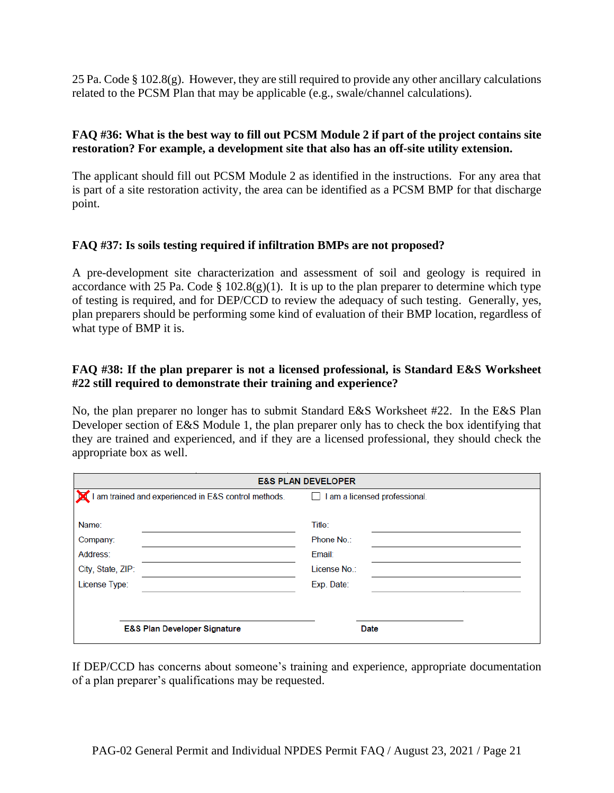25 Pa. Code § 102.8(g). However, they are still required to provide any other ancillary calculations related to the PCSM Plan that may be applicable (e.g., swale/channel calculations).

#### **FAQ #36: What is the best way to fill out PCSM Module 2 if part of the project contains site restoration? For example, a development site that also has an off-site utility extension.**

The applicant should fill out PCSM Module 2 as identified in the instructions. For any area that is part of a site restoration activity, the area can be identified as a PCSM BMP for that discharge point.

#### **FAQ #37: Is soils testing required if infiltration BMPs are not proposed?**

A pre-development site characterization and assessment of soil and geology is required in accordance with 25 Pa. Code § 102.8(g)(1). It is up to the plan preparer to determine which type of testing is required, and for DEP/CCD to review the adequacy of such testing. Generally, yes, plan preparers should be performing some kind of evaluation of their BMP location, regardless of what type of BMP it is.

#### **FAQ #38: If the plan preparer is not a licensed professional, is Standard E&S Worksheet #22 still required to demonstrate their training and experience?**

No, the plan preparer no longer has to submit Standard E&S Worksheet #22. In the E&S Plan Developer section of E&S Module 1, the plan preparer only has to check the box identifying that they are trained and experienced, and if they are a licensed professional, they should check the appropriate box as well.

| <b>E&amp;S PLAN DEVELOPER</b>                                       |                                                              |  |  |  |
|---------------------------------------------------------------------|--------------------------------------------------------------|--|--|--|
| I am trained and experienced in E&S control methods.                | am a licensed professional.                                  |  |  |  |
| Name:<br>Company:<br>Address:<br>City, State, ZIP:<br>License Type: | Title:<br>Phone No.:<br>Email:<br>License No.:<br>Exp. Date: |  |  |  |
| <b>E&amp;S Plan Developer Signature</b>                             | Date                                                         |  |  |  |

If DEP/CCD has concerns about someone's training and experience, appropriate documentation of a plan preparer's qualifications may be requested.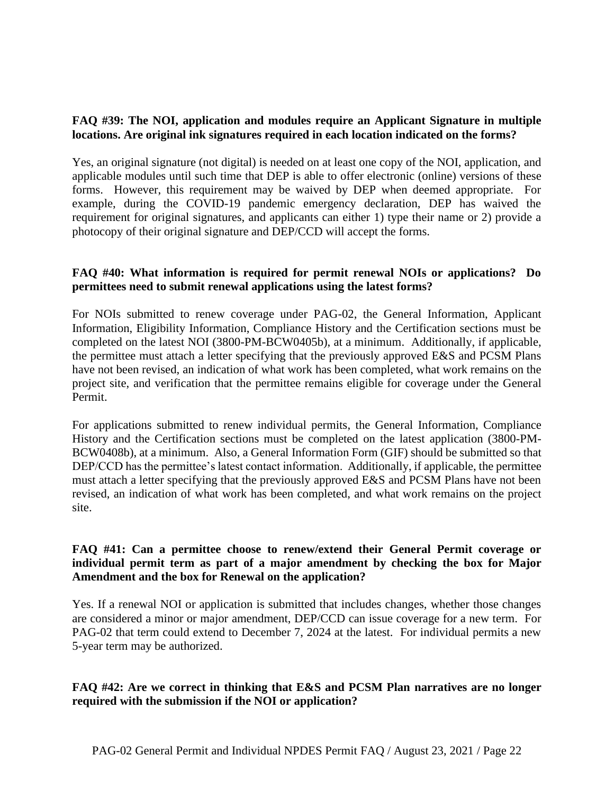#### **FAQ #39: The NOI, application and modules require an Applicant Signature in multiple locations. Are original ink signatures required in each location indicated on the forms?**

Yes, an original signature (not digital) is needed on at least one copy of the NOI, application, and applicable modules until such time that DEP is able to offer electronic (online) versions of these forms. However, this requirement may be waived by DEP when deemed appropriate. For example, during the COVID-19 pandemic emergency declaration, DEP has waived the requirement for original signatures, and applicants can either 1) type their name or 2) provide a photocopy of their original signature and DEP/CCD will accept the forms.

#### **FAQ #40: What information is required for permit renewal NOIs or applications? Do permittees need to submit renewal applications using the latest forms?**

For NOIs submitted to renew coverage under PAG-02, the General Information, Applicant Information, Eligibility Information, Compliance History and the Certification sections must be completed on the latest NOI (3800-PM-BCW0405b), at a minimum. Additionally, if applicable, the permittee must attach a letter specifying that the previously approved E&S and PCSM Plans have not been revised, an indication of what work has been completed, what work remains on the project site, and verification that the permittee remains eligible for coverage under the General Permit.

For applications submitted to renew individual permits, the General Information, Compliance History and the Certification sections must be completed on the latest application (3800-PM-BCW0408b), at a minimum. Also, a General Information Form (GIF) should be submitted so that DEP/CCD has the permittee's latest contact information. Additionally, if applicable, the permittee must attach a letter specifying that the previously approved E&S and PCSM Plans have not been revised, an indication of what work has been completed, and what work remains on the project site.

#### **FAQ #41: Can a permittee choose to renew/extend their General Permit coverage or individual permit term as part of a major amendment by checking the box for Major Amendment and the box for Renewal on the application?**

Yes. If a renewal NOI or application is submitted that includes changes, whether those changes are considered a minor or major amendment, DEP/CCD can issue coverage for a new term. For PAG-02 that term could extend to December 7, 2024 at the latest. For individual permits a new 5-year term may be authorized.

#### **FAQ #42: Are we correct in thinking that E&S and PCSM Plan narratives are no longer required with the submission if the NOI or application?**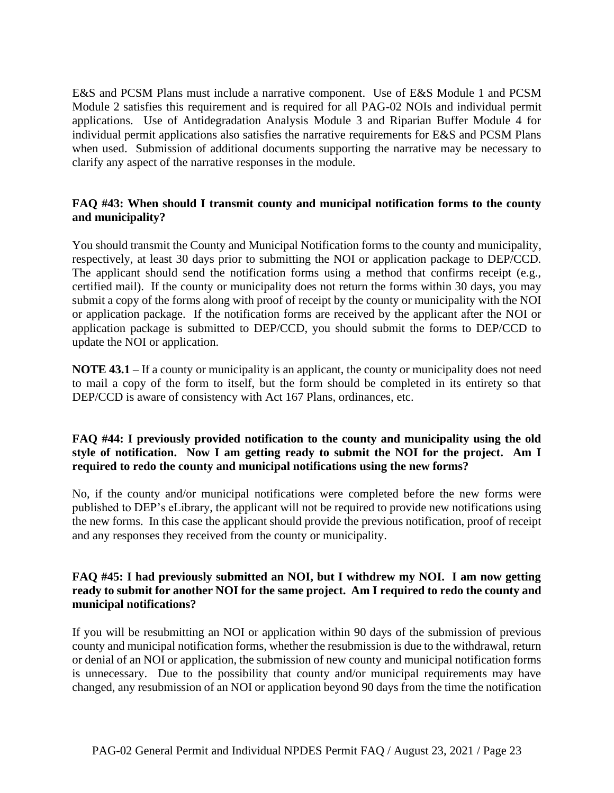E&S and PCSM Plans must include a narrative component. Use of E&S Module 1 and PCSM Module 2 satisfies this requirement and is required for all PAG-02 NOIs and individual permit applications. Use of Antidegradation Analysis Module 3 and Riparian Buffer Module 4 for individual permit applications also satisfies the narrative requirements for E&S and PCSM Plans when used. Submission of additional documents supporting the narrative may be necessary to clarify any aspect of the narrative responses in the module.

#### **FAQ #43: When should I transmit county and municipal notification forms to the county and municipality?**

You should transmit the County and Municipal Notification forms to the county and municipality, respectively, at least 30 days prior to submitting the NOI or application package to DEP/CCD. The applicant should send the notification forms using a method that confirms receipt (e.g., certified mail). If the county or municipality does not return the forms within 30 days, you may submit a copy of the forms along with proof of receipt by the county or municipality with the NOI or application package. If the notification forms are received by the applicant after the NOI or application package is submitted to DEP/CCD, you should submit the forms to DEP/CCD to update the NOI or application.

**NOTE 43.1** – If a county or municipality is an applicant, the county or municipality does not need to mail a copy of the form to itself, but the form should be completed in its entirety so that DEP/CCD is aware of consistency with Act 167 Plans, ordinances, etc.

#### **FAQ #44: I previously provided notification to the county and municipality using the old style of notification. Now I am getting ready to submit the NOI for the project. Am I required to redo the county and municipal notifications using the new forms?**

No, if the county and/or municipal notifications were completed before the new forms were published to DEP's eLibrary, the applicant will not be required to provide new notifications using the new forms. In this case the applicant should provide the previous notification, proof of receipt and any responses they received from the county or municipality.

#### **FAQ #45: I had previously submitted an NOI, but I withdrew my NOI. I am now getting ready to submit for another NOI for the same project. Am I required to redo the county and municipal notifications?**

If you will be resubmitting an NOI or application within 90 days of the submission of previous county and municipal notification forms, whether the resubmission is due to the withdrawal, return or denial of an NOI or application, the submission of new county and municipal notification forms is unnecessary. Due to the possibility that county and/or municipal requirements may have changed, any resubmission of an NOI or application beyond 90 days from the time the notification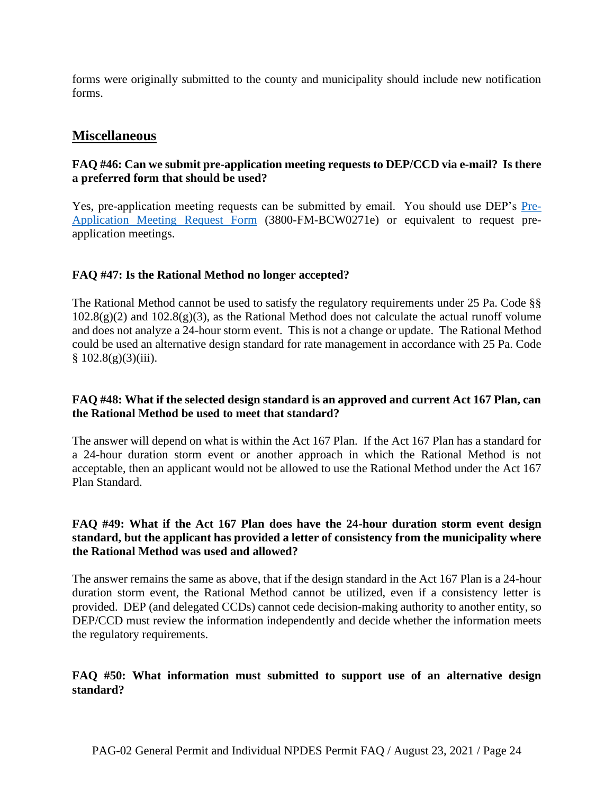forms were originally submitted to the county and municipality should include new notification forms.

#### **Miscellaneous**

#### **FAQ #46: Can we submit pre-application meeting requests to DEP/CCD via e-mail? Is there a preferred form that should be used?**

Yes, pre-application meeting requests can be submitted by email. You should use DEP's [Pre-](http://www.depgreenport.state.pa.us/elibrary/GetFolder?FolderID=2713)[Application Meeting Request Form](http://www.depgreenport.state.pa.us/elibrary/GetFolder?FolderID=2713) (3800-FM-BCW0271e) or equivalent to request preapplication meetings.

#### **FAQ #47: Is the Rational Method no longer accepted?**

The Rational Method cannot be used to satisfy the regulatory requirements under 25 Pa. Code §§  $102.8(g)(2)$  and  $102.8(g)(3)$ , as the Rational Method does not calculate the actual runoff volume and does not analyze a 24-hour storm event. This is not a change or update. The Rational Method could be used an alternative design standard for rate management in accordance with 25 Pa. Code  $§ 102.8(g)(3)(iii).$ 

#### **FAQ #48: What if the selected design standard is an approved and current Act 167 Plan, can the Rational Method be used to meet that standard?**

The answer will depend on what is within the Act 167 Plan. If the Act 167 Plan has a standard for a 24-hour duration storm event or another approach in which the Rational Method is not acceptable, then an applicant would not be allowed to use the Rational Method under the Act 167 Plan Standard.

#### **FAQ #49: What if the Act 167 Plan does have the 24-hour duration storm event design standard, but the applicant has provided a letter of consistency from the municipality where the Rational Method was used and allowed?**

The answer remains the same as above, that if the design standard in the Act 167 Plan is a 24-hour duration storm event, the Rational Method cannot be utilized, even if a consistency letter is provided. DEP (and delegated CCDs) cannot cede decision-making authority to another entity, so DEP/CCD must review the information independently and decide whether the information meets the regulatory requirements.

#### **FAQ #50: What information must submitted to support use of an alternative design standard?**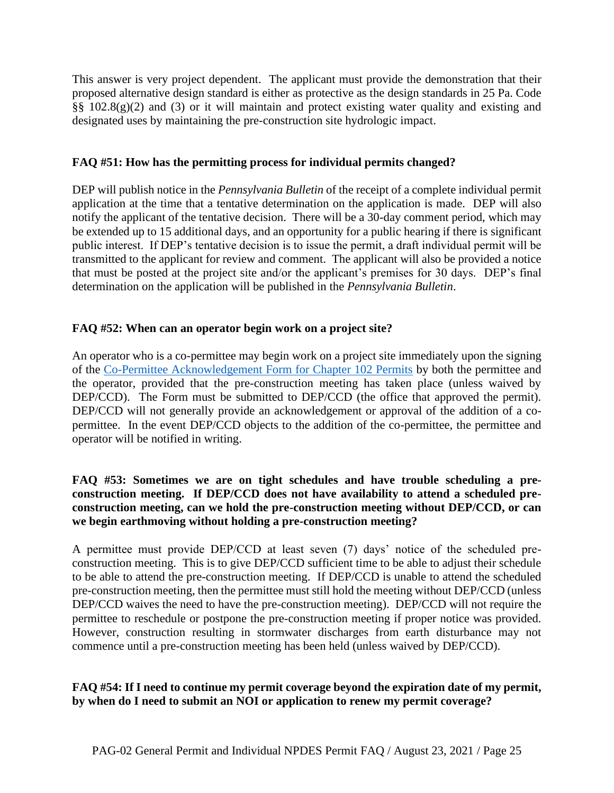This answer is very project dependent. The applicant must provide the demonstration that their proposed alternative design standard is either as protective as the design standards in 25 Pa. Code §§ 102.8(g)(2) and (3) or it will maintain and protect existing water quality and existing and designated uses by maintaining the pre-construction site hydrologic impact.

#### **FAQ #51: How has the permitting process for individual permits changed?**

DEP will publish notice in the *Pennsylvania Bulletin* of the receipt of a complete individual permit application at the time that a tentative determination on the application is made. DEP will also notify the applicant of the tentative decision. There will be a 30-day comment period, which may be extended up to 15 additional days, and an opportunity for a public hearing if there is significant public interest. If DEP's tentative decision is to issue the permit, a draft individual permit will be transmitted to the applicant for review and comment. The applicant will also be provided a notice that must be posted at the project site and/or the applicant's premises for 30 days. DEP's final determination on the application will be published in the *Pennsylvania Bulletin*.

#### **FAQ #52: When can an operator begin work on a project site?**

An operator who is a co-permittee may begin work on a project site immediately upon the signing of the [Co-Permittee Acknowledgement Form for Chapter 102 Permits](http://www.depgreenport.state.pa.us/elibrary/GetFolder?FolderID=2713) by both the permittee and the operator, provided that the pre-construction meeting has taken place (unless waived by DEP/CCD). The Form must be submitted to DEP/CCD (the office that approved the permit). DEP/CCD will not generally provide an acknowledgement or approval of the addition of a copermittee. In the event DEP/CCD objects to the addition of the co-permittee, the permittee and operator will be notified in writing.

#### **FAQ #53: Sometimes we are on tight schedules and have trouble scheduling a preconstruction meeting. If DEP/CCD does not have availability to attend a scheduled preconstruction meeting, can we hold the pre-construction meeting without DEP/CCD, or can we begin earthmoving without holding a pre-construction meeting?**

A permittee must provide DEP/CCD at least seven (7) days' notice of the scheduled preconstruction meeting. This is to give DEP/CCD sufficient time to be able to adjust their schedule to be able to attend the pre-construction meeting. If DEP/CCD is unable to attend the scheduled pre-construction meeting, then the permittee must still hold the meeting without DEP/CCD (unless DEP/CCD waives the need to have the pre-construction meeting). DEP/CCD will not require the permittee to reschedule or postpone the pre-construction meeting if proper notice was provided. However, construction resulting in stormwater discharges from earth disturbance may not commence until a pre-construction meeting has been held (unless waived by DEP/CCD).

#### **FAQ #54: If I need to continue my permit coverage beyond the expiration date of my permit, by when do I need to submit an NOI or application to renew my permit coverage?**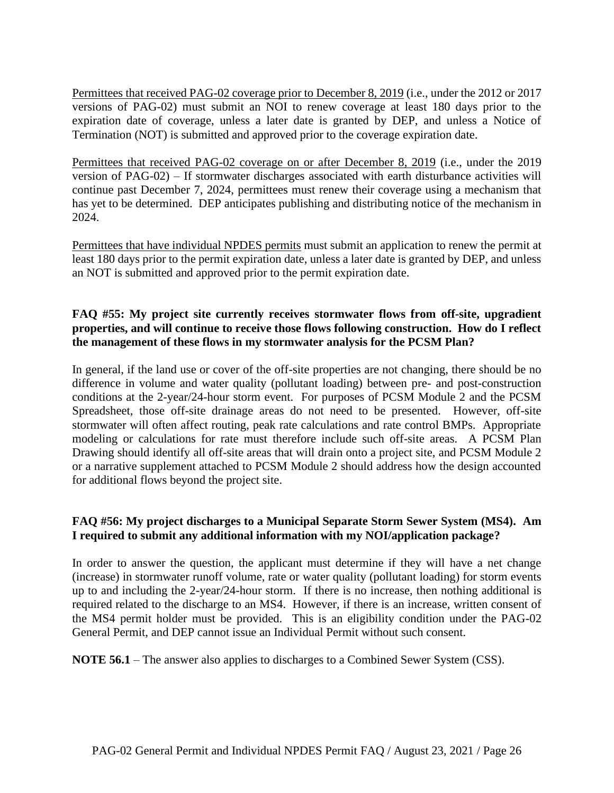Permittees that received PAG-02 coverage prior to December 8, 2019 (i.e., under the 2012 or 2017 versions of PAG-02) must submit an NOI to renew coverage at least 180 days prior to the expiration date of coverage, unless a later date is granted by DEP, and unless a Notice of Termination (NOT) is submitted and approved prior to the coverage expiration date.

Permittees that received PAG-02 coverage on or after December 8, 2019 (i.e., under the 2019 version of PAG-02) – If stormwater discharges associated with earth disturbance activities will continue past December 7, 2024, permittees must renew their coverage using a mechanism that has yet to be determined. DEP anticipates publishing and distributing notice of the mechanism in 2024.

Permittees that have individual NPDES permits must submit an application to renew the permit at least 180 days prior to the permit expiration date, unless a later date is granted by DEP, and unless an NOT is submitted and approved prior to the permit expiration date.

#### **FAQ #55: My project site currently receives stormwater flows from off-site, upgradient properties, and will continue to receive those flows following construction. How do I reflect the management of these flows in my stormwater analysis for the PCSM Plan?**

In general, if the land use or cover of the off-site properties are not changing, there should be no difference in volume and water quality (pollutant loading) between pre- and post-construction conditions at the 2-year/24-hour storm event. For purposes of PCSM Module 2 and the PCSM Spreadsheet, those off-site drainage areas do not need to be presented. However, off-site stormwater will often affect routing, peak rate calculations and rate control BMPs. Appropriate modeling or calculations for rate must therefore include such off-site areas. A PCSM Plan Drawing should identify all off-site areas that will drain onto a project site, and PCSM Module 2 or a narrative supplement attached to PCSM Module 2 should address how the design accounted for additional flows beyond the project site.

#### **FAQ #56: My project discharges to a Municipal Separate Storm Sewer System (MS4). Am I required to submit any additional information with my NOI/application package?**

In order to answer the question, the applicant must determine if they will have a net change (increase) in stormwater runoff volume, rate or water quality (pollutant loading) for storm events up to and including the 2-year/24-hour storm. If there is no increase, then nothing additional is required related to the discharge to an MS4. However, if there is an increase, written consent of the MS4 permit holder must be provided. This is an eligibility condition under the PAG-02 General Permit, and DEP cannot issue an Individual Permit without such consent.

**NOTE 56.1** – The answer also applies to discharges to a Combined Sewer System (CSS).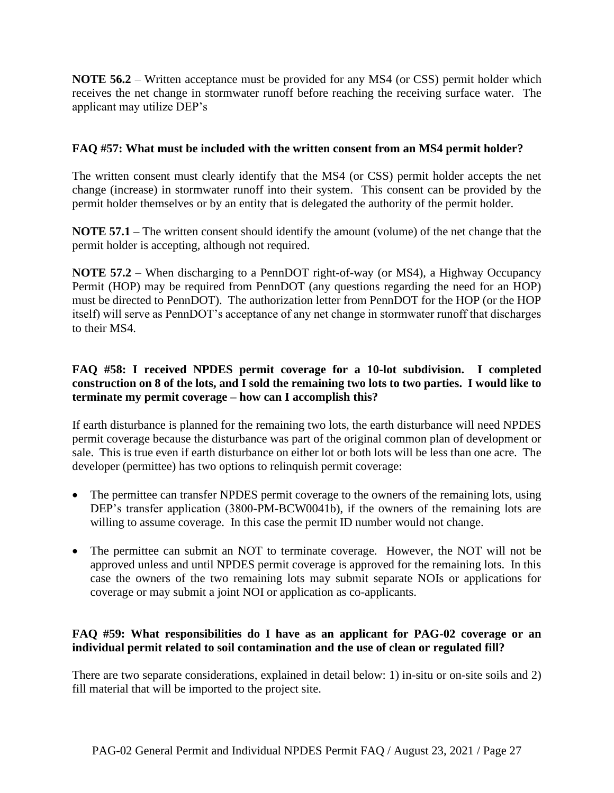**NOTE 56.2** – Written acceptance must be provided for any MS4 (or CSS) permit holder which receives the net change in stormwater runoff before reaching the receiving surface water. The applicant may utilize DEP's

#### **FAQ #57: What must be included with the written consent from an MS4 permit holder?**

The written consent must clearly identify that the MS4 (or CSS) permit holder accepts the net change (increase) in stormwater runoff into their system. This consent can be provided by the permit holder themselves or by an entity that is delegated the authority of the permit holder.

**NOTE 57.1** – The written consent should identify the amount (volume) of the net change that the permit holder is accepting, although not required.

**NOTE 57.2** – When discharging to a PennDOT right-of-way (or MS4), a Highway Occupancy Permit (HOP) may be required from PennDOT (any questions regarding the need for an HOP) must be directed to PennDOT). The authorization letter from PennDOT for the HOP (or the HOP itself) will serve as PennDOT's acceptance of any net change in stormwater runoff that discharges to their MS4.

#### **FAQ #58: I received NPDES permit coverage for a 10-lot subdivision. I completed construction on 8 of the lots, and I sold the remaining two lots to two parties. I would like to terminate my permit coverage – how can I accomplish this?**

If earth disturbance is planned for the remaining two lots, the earth disturbance will need NPDES permit coverage because the disturbance was part of the original common plan of development or sale. This is true even if earth disturbance on either lot or both lots will be less than one acre. The developer (permittee) has two options to relinquish permit coverage:

- The permittee can transfer NPDES permit coverage to the owners of the remaining lots, using DEP's transfer application (3800-PM-BCW0041b), if the owners of the remaining lots are willing to assume coverage. In this case the permit ID number would not change.
- The permittee can submit an NOT to terminate coverage. However, the NOT will not be approved unless and until NPDES permit coverage is approved for the remaining lots. In this case the owners of the two remaining lots may submit separate NOIs or applications for coverage or may submit a joint NOI or application as co-applicants.

#### **FAQ #59: What responsibilities do I have as an applicant for PAG-02 coverage or an individual permit related to soil contamination and the use of clean or regulated fill?**

There are two separate considerations, explained in detail below: 1) in-situ or on-site soils and 2) fill material that will be imported to the project site.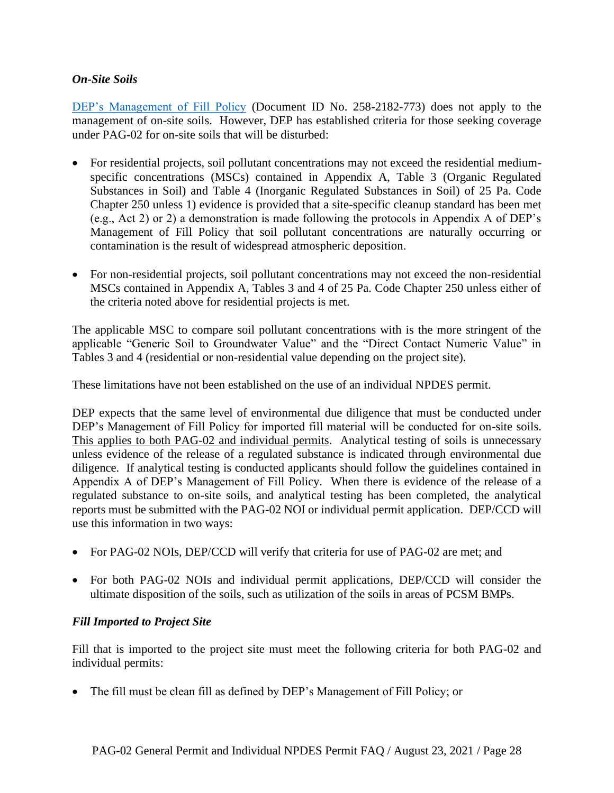#### *On-Site Soils*

[DEP's Management of Fill Policy](http://www.depgreenport.state.pa.us/elibrary/GetFolder?FolderID=4647) (Document ID No. 258-2182-773) does not apply to the management of on-site soils. However, DEP has established criteria for those seeking coverage under PAG-02 for on-site soils that will be disturbed:

- For residential projects, soil pollutant concentrations may not exceed the residential mediumspecific concentrations (MSCs) contained in Appendix A, Table 3 (Organic Regulated Substances in Soil) and Table 4 (Inorganic Regulated Substances in Soil) of 25 Pa. Code Chapter 250 unless 1) evidence is provided that a site-specific cleanup standard has been met (e.g., Act 2) or 2) a demonstration is made following the protocols in Appendix A of DEP's Management of Fill Policy that soil pollutant concentrations are naturally occurring or contamination is the result of widespread atmospheric deposition.
- For non-residential projects, soil pollutant concentrations may not exceed the non-residential MSCs contained in Appendix A, Tables 3 and 4 of 25 Pa. Code Chapter 250 unless either of the criteria noted above for residential projects is met.

The applicable MSC to compare soil pollutant concentrations with is the more stringent of the applicable "Generic Soil to Groundwater Value" and the "Direct Contact Numeric Value" in Tables 3 and 4 (residential or non-residential value depending on the project site).

These limitations have not been established on the use of an individual NPDES permit.

DEP expects that the same level of environmental due diligence that must be conducted under DEP's Management of Fill Policy for imported fill material will be conducted for on-site soils. This applies to both PAG-02 and individual permits. Analytical testing of soils is unnecessary unless evidence of the release of a regulated substance is indicated through environmental due diligence. If analytical testing is conducted applicants should follow the guidelines contained in Appendix A of DEP's Management of Fill Policy. When there is evidence of the release of a regulated substance to on-site soils, and analytical testing has been completed, the analytical reports must be submitted with the PAG-02 NOI or individual permit application. DEP/CCD will use this information in two ways:

- For PAG-02 NOIs, DEP/CCD will verify that criteria for use of PAG-02 are met; and
- For both PAG-02 NOIs and individual permit applications, DEP/CCD will consider the ultimate disposition of the soils, such as utilization of the soils in areas of PCSM BMPs.

#### *Fill Imported to Project Site*

Fill that is imported to the project site must meet the following criteria for both PAG-02 and individual permits:

• The fill must be clean fill as defined by DEP's Management of Fill Policy; or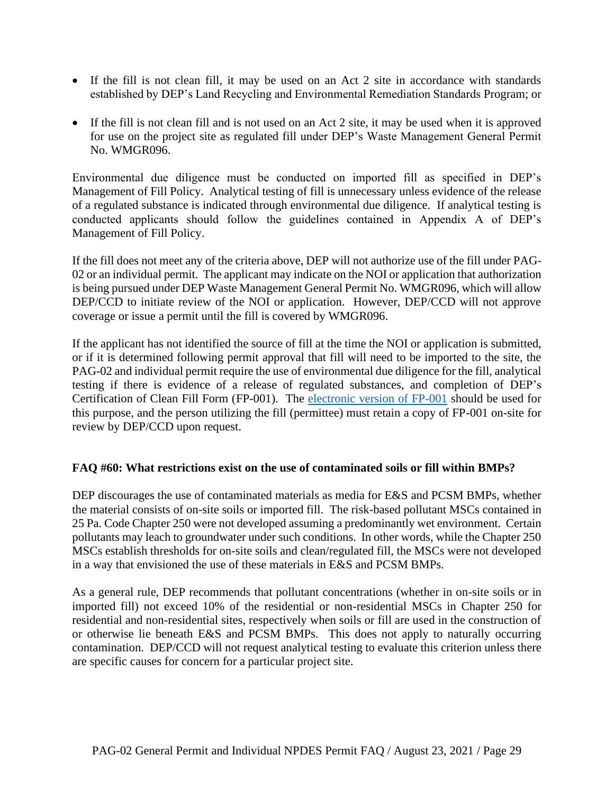- If the fill is not clean fill, it may be used on an Act 2 site in accordance with standards established by DEP's Land Recycling and Environmental Remediation Standards Program; or
- If the fill is not clean fill and is not used on an Act 2 site, it may be used when it is approved for use on the project site as regulated fill under DEP's Waste Management General Permit No. WMGR096.

Environmental due diligence must be conducted on imported fill as specified in DEP's Management of Fill Policy. Analytical testing of fill is unnecessary unless evidence of the release of a regulated substance is indicated through environmental due diligence. If analytical testing is conducted applicants should follow the guidelines contained in Appendix A of DEP's Management of Fill Policy.

If the fill does not meet any of the criteria above, DEP will not authorize use of the fill under PAG-02 or an individual permit. The applicant may indicate on the NOI or application that authorization is being pursued under DEP Waste Management General Permit No. WMGR096, which will allow DEP/CCD to initiate review of the NOI or application. However, DEP/CCD will not approve coverage or issue a permit until the fill is covered by WMGR096.

If the applicant has not identified the source of fill at the time the NOI or application is submitted, or if it is determined following permit approval that fill will need to be imported to the site, the PAG-02 and individual permit require the use of environmental due diligence for the fill, analytical testing if there is evidence of a release of regulated substances, and completion of DEP's Certification of Clean Fill Form (FP-001). The [electronic version of FP-001](http://www.depgreenport.state.pa.us/CleanFill) should be used for this purpose, and the person utilizing the fill (permittee) must retain a copy of FP-001 on-site for review by DEP/CCD upon request.

#### **FAQ #60: What restrictions exist on the use of contaminated soils or fill within BMPs?**

DEP discourages the use of contaminated materials as media for E&S and PCSM BMPs, whether the material consists of on-site soils or imported fill. The risk-based pollutant MSCs contained in 25 Pa. Code Chapter 250 were not developed assuming a predominantly wet environment. Certain pollutants may leach to groundwater under such conditions. In other words, while the Chapter 250 MSCs establish thresholds for on-site soils and clean/regulated fill, the MSCs were not developed in a way that envisioned the use of these materials in E&S and PCSM BMPs.

As a general rule, DEP recommends that pollutant concentrations (whether in on-site soils or in imported fill) not exceed 10% of the residential or non-residential MSCs in Chapter 250 for residential and non-residential sites, respectively when soils or fill are used in the construction of or otherwise lie beneath E&S and PCSM BMPs. This does not apply to naturally occurring contamination. DEP/CCD will not request analytical testing to evaluate this criterion unless there are specific causes for concern for a particular project site.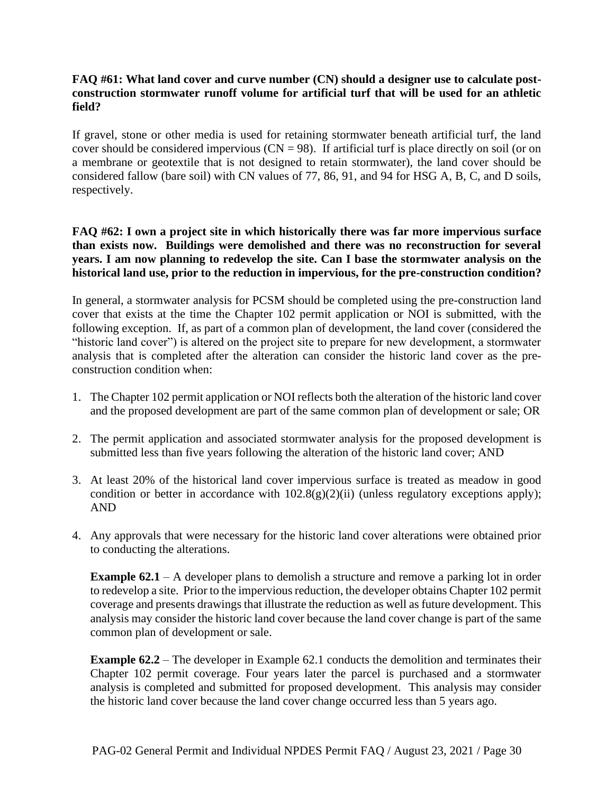#### **FAQ #61: What land cover and curve number (CN) should a designer use to calculate postconstruction stormwater runoff volume for artificial turf that will be used for an athletic field?**

If gravel, stone or other media is used for retaining stormwater beneath artificial turf, the land cover should be considered impervious ( $CN = 98$ ). If artificial turf is place directly on soil (or on a membrane or geotextile that is not designed to retain stormwater), the land cover should be considered fallow (bare soil) with CN values of 77, 86, 91, and 94 for HSG A, B, C, and D soils, respectively.

#### **FAQ #62: I own a project site in which historically there was far more impervious surface than exists now. Buildings were demolished and there was no reconstruction for several years. I am now planning to redevelop the site. Can I base the stormwater analysis on the historical land use, prior to the reduction in impervious, for the pre-construction condition?**

In general, a stormwater analysis for PCSM should be completed using the pre-construction land cover that exists at the time the Chapter 102 permit application or NOI is submitted, with the following exception. If, as part of a common plan of development, the land cover (considered the "historic land cover") is altered on the project site to prepare for new development, a stormwater analysis that is completed after the alteration can consider the historic land cover as the preconstruction condition when:

- 1. The Chapter 102 permit application or NOI reflects both the alteration of the historic land cover and the proposed development are part of the same common plan of development or sale; OR
- 2. The permit application and associated stormwater analysis for the proposed development is submitted less than five years following the alteration of the historic land cover; AND
- 3. At least 20% of the historical land cover impervious surface is treated as meadow in good condition or better in accordance with  $102.8(g)(2)(ii)$  (unless regulatory exceptions apply); AND
- 4. Any approvals that were necessary for the historic land cover alterations were obtained prior to conducting the alterations.

**Example 62.1** – A developer plans to demolish a structure and remove a parking lot in order to redevelop a site. Prior to the impervious reduction, the developer obtains Chapter 102 permit coverage and presents drawings that illustrate the reduction as well as future development. This analysis may consider the historic land cover because the land cover change is part of the same common plan of development or sale.

**Example 62.2** – The developer in Example 62.1 conducts the demolition and terminates their Chapter 102 permit coverage. Four years later the parcel is purchased and a stormwater analysis is completed and submitted for proposed development. This analysis may consider the historic land cover because the land cover change occurred less than 5 years ago.